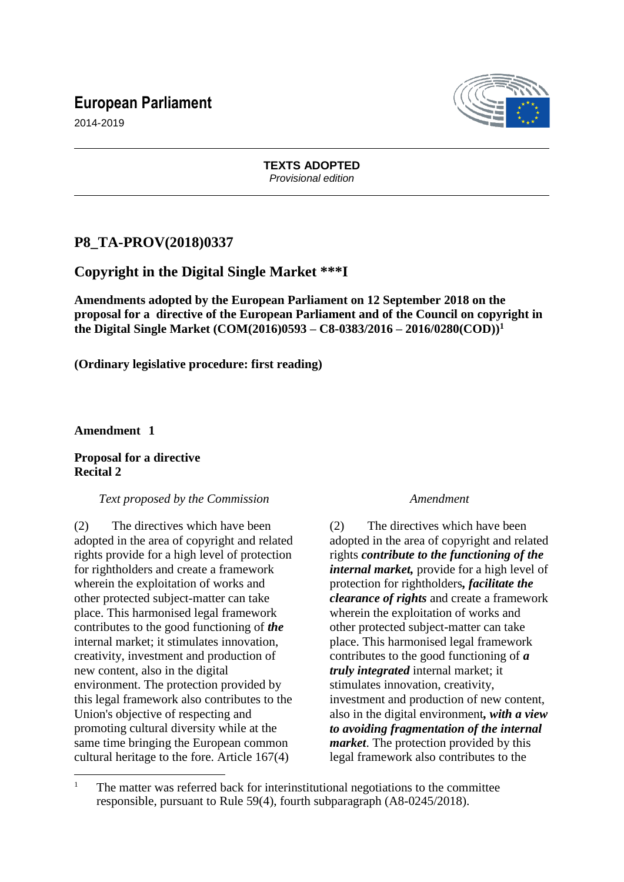# **European Parliament**



2014-2019

## **TEXTS ADOPTED** *Provisional edition*

# **P8\_TA-PROV(2018)0337**

# **Copyright in the Digital Single Market \*\*\*I**

**Amendments adopted by the European Parliament on 12 September 2018 on the proposal for a directive of the European Parliament and of the Council on copyright in the Digital Single Market (COM(2016)0593 – C8-0383/2016 – 2016/0280(COD))<sup>1</sup>**

**(Ordinary legislative procedure: first reading)**

**Amendment 1**

 $\overline{a}$ 

## **Proposal for a directive Recital 2**

## *Text proposed by the Commission Amendment*

(2) The directives which have been adopted in the area of copyright and related rights provide for a high level of protection for rightholders and create a framework wherein the exploitation of works and other protected subject-matter can take place. This harmonised legal framework contributes to the good functioning of *the* internal market; it stimulates innovation, creativity, investment and production of new content, also in the digital environment. The protection provided by this legal framework also contributes to the Union's objective of respecting and promoting cultural diversity while at the same time bringing the European common cultural heritage to the fore. Article 167(4)

(2) The directives which have been adopted in the area of copyright and related rights *contribute to the functioning of the internal market,* provide for a high level of protection for rightholders*, facilitate the clearance of rights* and create a framework wherein the exploitation of works and other protected subject-matter can take place. This harmonised legal framework contributes to the good functioning of *a truly integrated* internal market; it stimulates innovation, creativity, investment and production of new content, also in the digital environment*, with a view to avoiding fragmentation of the internal market*. The protection provided by this legal framework also contributes to the

<sup>&</sup>lt;sup>1</sup> The matter was referred back for interinstitutional negotiations to the committee responsible, pursuant to Rule 59(4), fourth subparagraph (A8-0245/2018).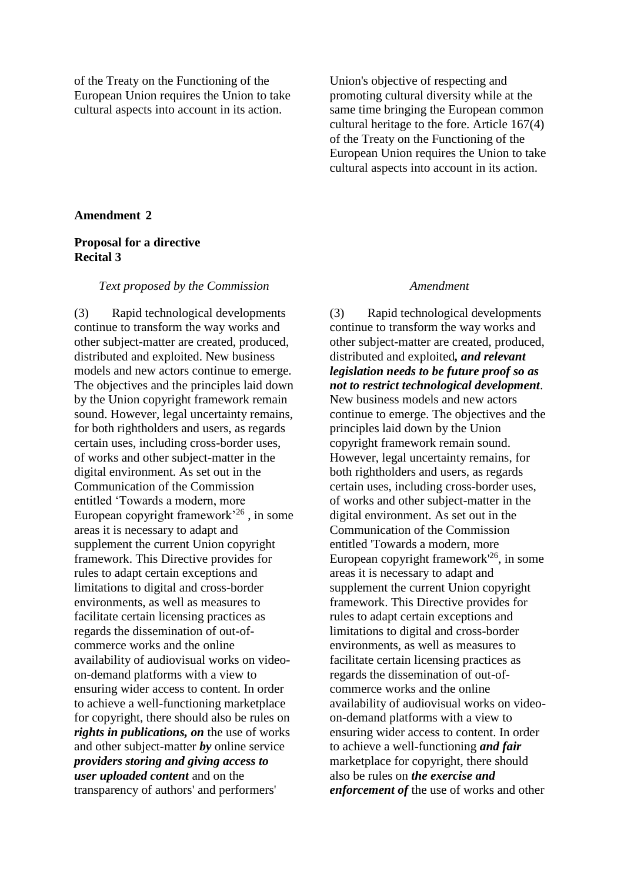of the Treaty on the Functioning of the European Union requires the Union to take cultural aspects into account in its action.

Union's objective of respecting and promoting cultural diversity while at the same time bringing the European common cultural heritage to the fore. Article 167(4) of the Treaty on the Functioning of the European Union requires the Union to take cultural aspects into account in its action.

## **Amendment 2**

## **Proposal for a directive Recital 3**

### *Text proposed by the Commission Amendment*

(3) Rapid technological developments continue to transform the way works and other subject-matter are created, produced, distributed and exploited. New business models and new actors continue to emerge. The objectives and the principles laid down by the Union copyright framework remain sound. However, legal uncertainty remains, for both rightholders and users, as regards certain uses, including cross-border uses, of works and other subject-matter in the digital environment. As set out in the Communication of the Commission entitled 'Towards a modern, more European copyright framework'<sup>26</sup> , in some areas it is necessary to adapt and supplement the current Union copyright framework. This Directive provides for rules to adapt certain exceptions and limitations to digital and cross-border environments, as well as measures to facilitate certain licensing practices as regards the dissemination of out-ofcommerce works and the online availability of audiovisual works on videoon-demand platforms with a view to ensuring wider access to content. In order to achieve a well-functioning marketplace for copyright, there should also be rules on *rights in publications, on* the use of works and other subject-matter *by* online service *providers storing and giving access to user uploaded content* and on the transparency of authors' and performers'

(3) Rapid technological developments continue to transform the way works and other subject-matter are created, produced, distributed and exploited*, and relevant legislation needs to be future proof so as not to restrict technological development*. New business models and new actors continue to emerge. The objectives and the principles laid down by the Union copyright framework remain sound. However, legal uncertainty remains, for both rightholders and users, as regards certain uses, including cross-border uses, of works and other subject-matter in the digital environment. As set out in the Communication of the Commission entitled 'Towards a modern, more European copyright framework'<sup>26</sup>, in some areas it is necessary to adapt and supplement the current Union copyright framework. This Directive provides for rules to adapt certain exceptions and limitations to digital and cross-border environments, as well as measures to facilitate certain licensing practices as regards the dissemination of out-ofcommerce works and the online availability of audiovisual works on videoon-demand platforms with a view to ensuring wider access to content. In order to achieve a well-functioning *and fair* marketplace for copyright, there should also be rules on *the exercise and enforcement of* the use of works and other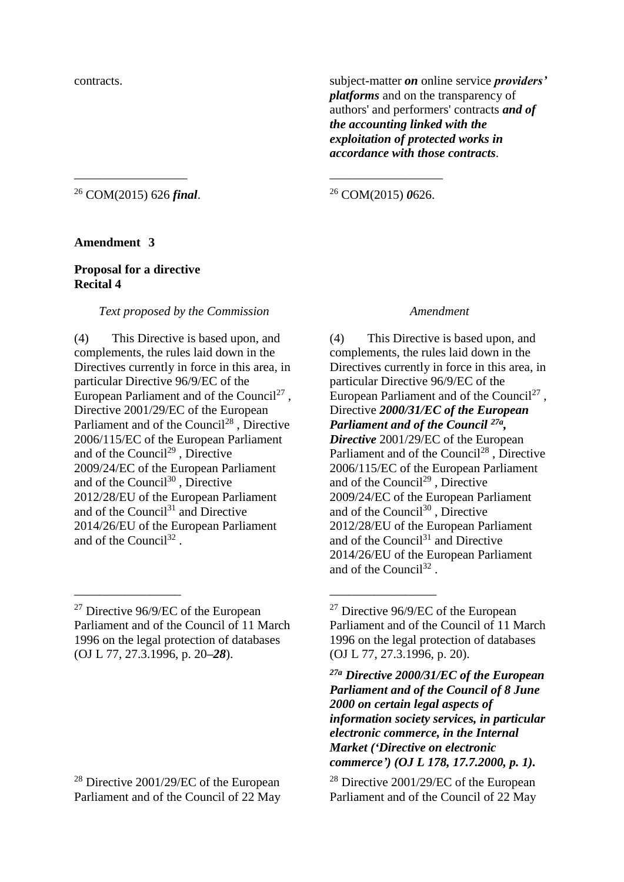contracts. subject-matter *on* online service *providers' platforms* and on the transparency of authors' and performers' contracts *and of the accounting linked with the exploitation of protected works in accordance with those contracts*.

<sup>26</sup> COM(2015) 626 *final*.

# <sup>26</sup> COM(2015) *0*626.

### **Amendment 3**

## **Proposal for a directive Recital 4**

## *Text proposed by the Commission Amendment*

\_\_\_\_\_\_\_\_\_\_\_\_\_\_\_\_\_\_ \_\_\_\_\_\_\_\_\_\_\_\_\_\_\_\_\_\_

(4) This Directive is based upon, and complements, the rules laid down in the Directives currently in force in this area, in particular Directive 96/9/EC of the European Parliament and of the Council<sup>27</sup>, Directive 2001/29/EC of the European Parliament and of the Council<sup>28</sup>, Directive 2006/115/EC of the European Parliament and of the Council<sup>29</sup>, Directive 2009/24/EC of the European Parliament and of the Council<sup>30</sup>, Directive 2012/28/EU of the European Parliament and of the Council<sup>31</sup> and Directive 2014/26/EU of the European Parliament and of the Council<sup>32</sup>.

\_\_\_\_\_\_\_\_\_\_\_\_\_\_\_\_\_ \_\_\_\_\_\_\_\_\_\_\_\_\_\_\_\_\_

(4) This Directive is based upon, and complements, the rules laid down in the Directives currently in force in this area, in particular Directive 96/9/EC of the European Parliament and of the Council<sup>27</sup>, Directive *2000/31/EC of the European Parliament and of the Council 27a , Directive* 2001/29/EC of the European Parliament and of the Council<sup>28</sup>, Directive 2006/115/EC of the European Parliament and of the Council<sup>29</sup>, Directive 2009/24/EC of the European Parliament and of the Council<sup>30</sup>, Directive 2012/28/EU of the European Parliament and of the Council<sup>31</sup> and Directive 2014/26/EU of the European Parliament and of the Council<sup>32</sup>.

*27a Directive 2000/31/EC of the European Parliament and of the Council of 8 June 2000 on certain legal aspects of information society services, in particular electronic commerce, in the Internal Market ('Directive on electronic commerce') (OJ L 178, 17.7.2000, p. 1).*

<sup>28</sup> Directive 2001/29/EC of the European Parliament and of the Council of 22 May

<sup>&</sup>lt;sup>27</sup> Directive 96/9/EC of the European Parliament and of the Council of 11 March 1996 on the legal protection of databases (OJ L 77, 27.3.1996, p. 20*–28*).

<sup>&</sup>lt;sup>27</sup> Directive 96/9/EC of the European Parliament and of the Council of 11 March 1996 on the legal protection of databases (OJ L 77, 27.3.1996, p. 20).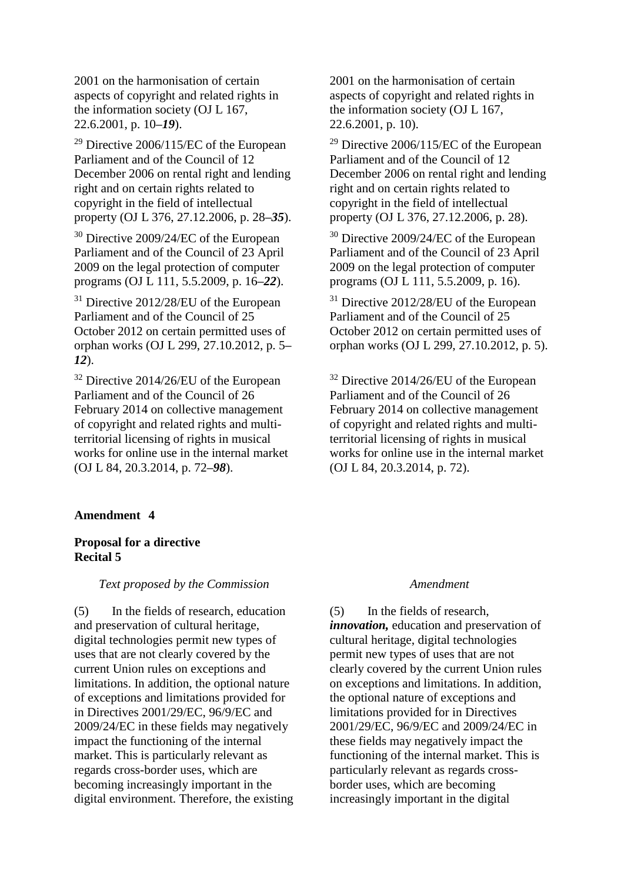2001 on the harmonisation of certain aspects of copyright and related rights in the information society (OJ L 167, 22.6.2001, p. 10*–19*).

<sup>29</sup> Directive 2006/115/EC of the European Parliament and of the Council of 12 December 2006 on rental right and lending right and on certain rights related to copyright in the field of intellectual property (OJ L 376, 27.12.2006, p. 28*–35*).

<sup>30</sup> Directive 2009/24/EC of the European Parliament and of the Council of 23 April 2009 on the legal protection of computer programs (OJ L 111, 5.5.2009, p. 16*–22*).

<sup>31</sup> Directive 2012/28/EU of the European Parliament and of the Council of 25 October 2012 on certain permitted uses of orphan works (OJ L 299, 27.10.2012, p. 5*– 12*).

<sup>32</sup> Directive 2014/26/EU of the European Parliament and of the Council of 26 February 2014 on collective management of copyright and related rights and multiterritorial licensing of rights in musical works for online use in the internal market (OJ L 84, 20.3.2014, p. 72*–98*).

## **Amendment 4**

## **Proposal for a directive Recital 5**

## *Text proposed by the Commission Amendment*

(5) In the fields of research, education and preservation of cultural heritage, digital technologies permit new types of uses that are not clearly covered by the current Union rules on exceptions and limitations. In addition, the optional nature of exceptions and limitations provided for in Directives 2001/29/EC, 96/9/EC and 2009/24/EC in these fields may negatively impact the functioning of the internal market. This is particularly relevant as regards cross-border uses, which are becoming increasingly important in the digital environment. Therefore, the existing

2001 on the harmonisation of certain aspects of copyright and related rights in the information society (OJ L 167, 22.6.2001, p. 10).

<sup>29</sup> Directive 2006/115/EC of the European Parliament and of the Council of 12 December 2006 on rental right and lending right and on certain rights related to copyright in the field of intellectual property (OJ L 376, 27.12.2006, p. 28).

<sup>30</sup> Directive 2009/24/EC of the European Parliament and of the Council of 23 April 2009 on the legal protection of computer programs (OJ L 111, 5.5.2009, p. 16).

<sup>31</sup> Directive 2012/28/EU of the European Parliament and of the Council of 25 October 2012 on certain permitted uses of orphan works (OJ L 299, 27.10.2012, p. 5).

<sup>32</sup> Directive 2014/26/EU of the European Parliament and of the Council of 26 February 2014 on collective management of copyright and related rights and multiterritorial licensing of rights in musical works for online use in the internal market (OJ L 84, 20.3.2014, p. 72).

(5) In the fields of research, *innovation,* education and preservation of cultural heritage, digital technologies permit new types of uses that are not clearly covered by the current Union rules on exceptions and limitations. In addition, the optional nature of exceptions and limitations provided for in Directives 2001/29/EC, 96/9/EC and 2009/24/EC in these fields may negatively impact the functioning of the internal market. This is particularly relevant as regards crossborder uses, which are becoming increasingly important in the digital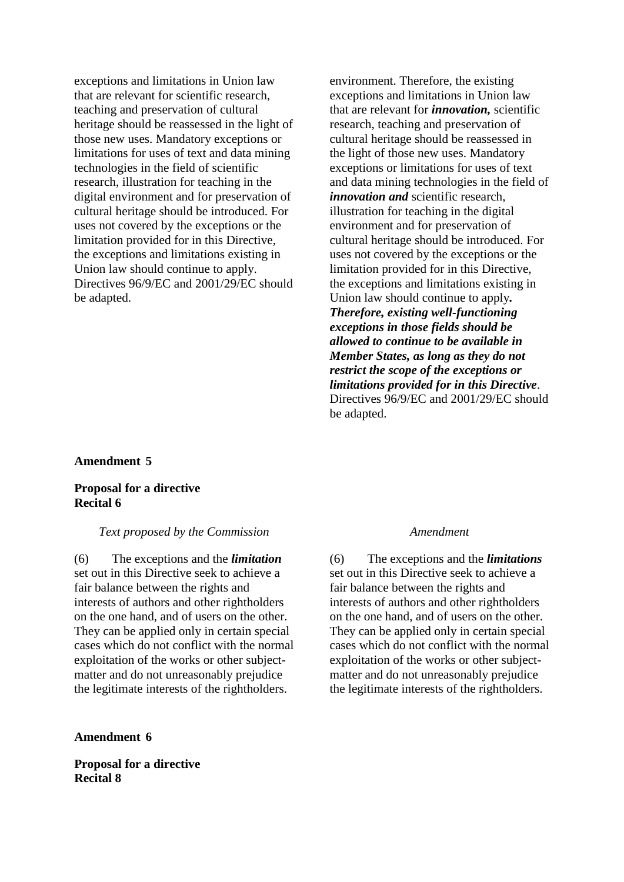exceptions and limitations in Union law that are relevant for scientific research, teaching and preservation of cultural heritage should be reassessed in the light of those new uses. Mandatory exceptions or limitations for uses of text and data mining technologies in the field of scientific research, illustration for teaching in the digital environment and for preservation of cultural heritage should be introduced. For uses not covered by the exceptions or the limitation provided for in this Directive, the exceptions and limitations existing in Union law should continue to apply. Directives 96/9/EC and 2001/29/EC should be adapted.

environment. Therefore, the existing exceptions and limitations in Union law that are relevant for *innovation,* scientific research, teaching and preservation of cultural heritage should be reassessed in the light of those new uses. Mandatory exceptions or limitations for uses of text and data mining technologies in the field of *innovation and* scientific research, illustration for teaching in the digital environment and for preservation of cultural heritage should be introduced. For uses not covered by the exceptions or the limitation provided for in this Directive, the exceptions and limitations existing in Union law should continue to apply*. Therefore, existing well-functioning exceptions in those fields should be allowed to continue to be available in Member States, as long as they do not restrict the scope of the exceptions or limitations provided for in this Directive*. Directives 96/9/EC and 2001/29/EC should be adapted.

## **Amendment 5**

## **Proposal for a directive Recital 6**

### *Text proposed by the Commission Amendment*

(6) The exceptions and the *limitation* set out in this Directive seek to achieve a fair balance between the rights and interests of authors and other rightholders on the one hand, and of users on the other. They can be applied only in certain special cases which do not conflict with the normal exploitation of the works or other subjectmatter and do not unreasonably prejudice the legitimate interests of the rightholders.

**Amendment 6**

**Proposal for a directive Recital 8**

(6) The exceptions and the *limitations* set out in this Directive seek to achieve a fair balance between the rights and interests of authors and other rightholders on the one hand, and of users on the other. They can be applied only in certain special cases which do not conflict with the normal exploitation of the works or other subjectmatter and do not unreasonably prejudice the legitimate interests of the rightholders.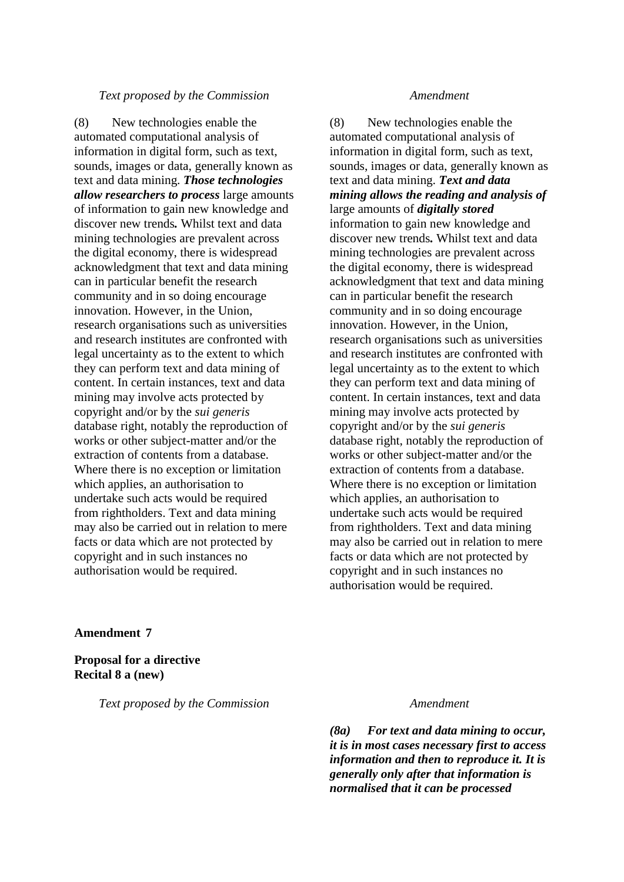### *Text proposed by the Commission Amendment*

(8) New technologies enable the automated computational analysis of information in digital form, such as text, sounds, images or data, generally known as text and data mining. *Those technologies allow researchers to process* large amounts of information to gain new knowledge and discover new trends*.* Whilst text and data mining technologies are prevalent across the digital economy, there is widespread acknowledgment that text and data mining can in particular benefit the research community and in so doing encourage innovation. However, in the Union, research organisations such as universities and research institutes are confronted with legal uncertainty as to the extent to which they can perform text and data mining of content. In certain instances, text and data mining may involve acts protected by copyright and/or by the *sui generis* database right, notably the reproduction of works or other subject-matter and/or the extraction of contents from a database. Where there is no exception or limitation which applies, an authorisation to undertake such acts would be required from rightholders. Text and data mining may also be carried out in relation to mere facts or data which are not protected by copyright and in such instances no authorisation would be required.

(8) New technologies enable the automated computational analysis of information in digital form, such as text, sounds, images or data, generally known as text and data mining. *Text and data mining allows the reading and analysis of*  large amounts of *digitally stored*  information to gain new knowledge and discover new trends*.* Whilst text and data mining technologies are prevalent across the digital economy, there is widespread acknowledgment that text and data mining can in particular benefit the research community and in so doing encourage innovation. However, in the Union, research organisations such as universities and research institutes are confronted with legal uncertainty as to the extent to which they can perform text and data mining of content. In certain instances, text and data mining may involve acts protected by copyright and/or by the *sui generis* database right, notably the reproduction of works or other subject-matter and/or the extraction of contents from a database. Where there is no exception or limitation which applies, an authorisation to undertake such acts would be required from rightholders. Text and data mining may also be carried out in relation to mere facts or data which are not protected by copyright and in such instances no authorisation would be required.

## **Amendment 7**

**Proposal for a directive Recital 8 a (new)**

*Text proposed by the Commission Amendment*

*(8a) For text and data mining to occur, it is in most cases necessary first to access information and then to reproduce it. It is generally only after that information is normalised that it can be processed*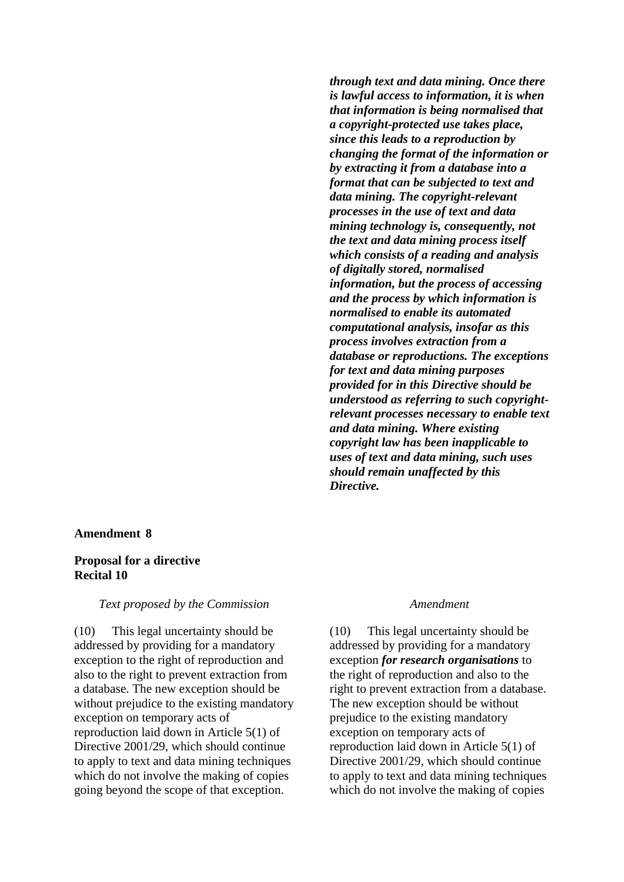*through text and data mining. Once there is lawful access to information, it is when that information is being normalised that a copyright-protected use takes place, since this leads to a reproduction by changing the format of the information or by extracting it from a database into a format that can be subjected to text and data mining. The copyright-relevant processes in the use of text and data mining technology is, consequently, not the text and data mining process itself which consists of a reading and analysis of digitally stored, normalised information, but the process of accessing and the process by which information is normalised to enable its automated computational analysis, insofar as this process involves extraction from a database or reproductions. The exceptions for text and data mining purposes provided for in this Directive should be understood as referring to such copyrightrelevant processes necessary to enable text and data mining. Where existing copyright law has been inapplicable to uses of text and data mining, such uses should remain unaffected by this Directive.*

## **Amendment 8**

## **Proposal for a directive Recital 10**

## *Text proposed by the Commission Amendment*

(10) This legal uncertainty should be addressed by providing for a mandatory exception to the right of reproduction and also to the right to prevent extraction from a database. The new exception should be without prejudice to the existing mandatory exception on temporary acts of reproduction laid down in Article 5(1) of Directive 2001/29, which should continue to apply to text and data mining techniques which do not involve the making of copies going beyond the scope of that exception.

(10) This legal uncertainty should be addressed by providing for a mandatory exception *for research organisations* to the right of reproduction and also to the right to prevent extraction from a database. The new exception should be without prejudice to the existing mandatory exception on temporary acts of reproduction laid down in Article 5(1) of Directive 2001/29, which should continue to apply to text and data mining techniques which do not involve the making of copies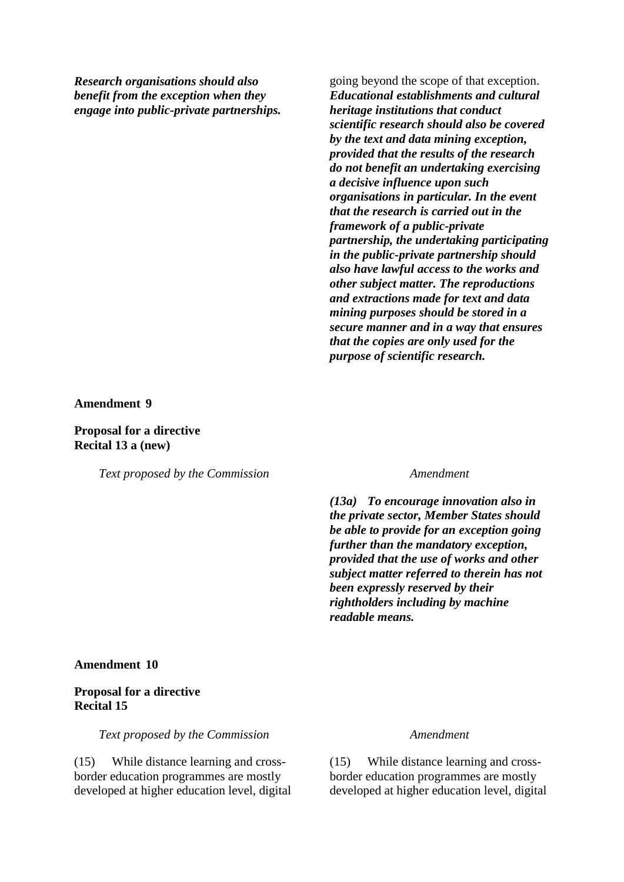*Research organisations should also benefit from the exception when they engage into public-private partnerships.* going beyond the scope of that exception. *Educational establishments and cultural heritage institutions that conduct scientific research should also be covered by the text and data mining exception, provided that the results of the research do not benefit an undertaking exercising a decisive influence upon such organisations in particular. In the event that the research is carried out in the framework of a public-private partnership, the undertaking participating in the public-private partnership should also have lawful access to the works and other subject matter. The reproductions and extractions made for text and data mining purposes should be stored in a secure manner and in a way that ensures that the copies are only used for the purpose of scientific research.*

### **Amendment 9**

**Proposal for a directive Recital 13 a (new)**

*Text proposed by the Commission Amendment*

*(13a) To encourage innovation also in the private sector, Member States should be able to provide for an exception going further than the mandatory exception, provided that the use of works and other subject matter referred to therein has not been expressly reserved by their rightholders including by machine readable means.*

### **Amendment 10**

## **Proposal for a directive Recital 15**

*Text proposed by the Commission Amendment*

(15) While distance learning and crossborder education programmes are mostly developed at higher education level, digital

(15) While distance learning and crossborder education programmes are mostly developed at higher education level, digital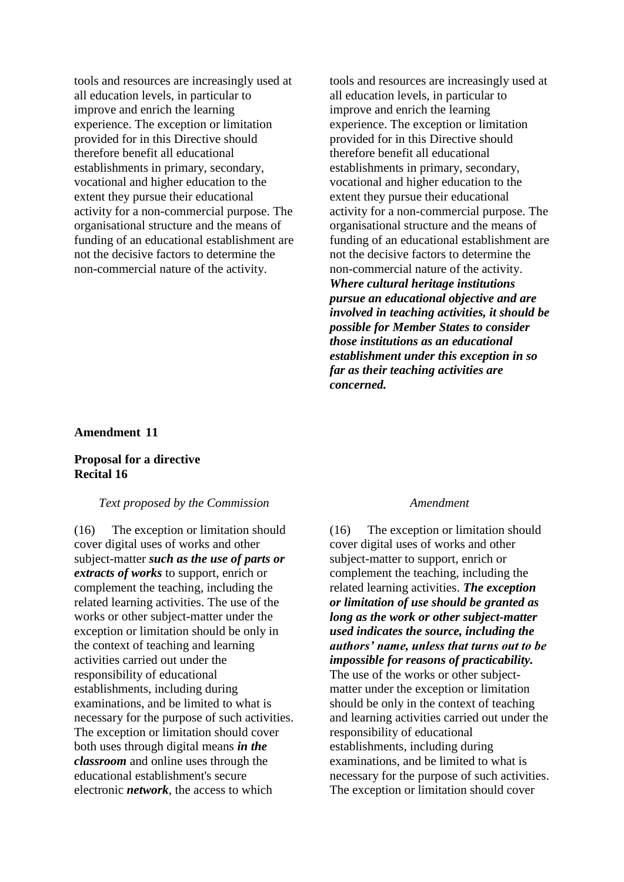tools and resources are increasingly used at all education levels, in particular to improve and enrich the learning experience. The exception or limitation provided for in this Directive should therefore benefit all educational establishments in primary, secondary, vocational and higher education to the extent they pursue their educational activity for a non-commercial purpose. The organisational structure and the means of funding of an educational establishment are not the decisive factors to determine the non-commercial nature of the activity.

tools and resources are increasingly used at all education levels, in particular to improve and enrich the learning experience. The exception or limitation provided for in this Directive should therefore benefit all educational establishments in primary, secondary, vocational and higher education to the extent they pursue their educational activity for a non-commercial purpose. The organisational structure and the means of funding of an educational establishment are not the decisive factors to determine the non-commercial nature of the activity. *Where cultural heritage institutions pursue an educational objective and are involved in teaching activities, it should be possible for Member States to consider those institutions as an educational establishment under this exception in so far as their teaching activities are concerned.* 

### **Amendment 11**

## **Proposal for a directive Recital 16**

## *Text proposed by the Commission Amendment*

(16) The exception or limitation should cover digital uses of works and other subject-matter *such as the use of parts or extracts of works* to support, enrich or complement the teaching, including the related learning activities. The use of the works or other subject-matter under the exception or limitation should be only in the context of teaching and learning activities carried out under the responsibility of educational establishments, including during examinations, and be limited to what is necessary for the purpose of such activities. The exception or limitation should cover both uses through digital means *in the classroom* and online uses through the educational establishment's secure electronic *network*, the access to which

(16) The exception or limitation should cover digital uses of works and other subject-matter to support, enrich or complement the teaching, including the related learning activities. *The exception or limitation of use should be granted as long as the work or other subject-matter used indicates the source, including the authors' name, unless that turns out to be impossible for reasons of practicability.* The use of the works or other subjectmatter under the exception or limitation should be only in the context of teaching and learning activities carried out under the responsibility of educational establishments, including during examinations, and be limited to what is necessary for the purpose of such activities. The exception or limitation should cover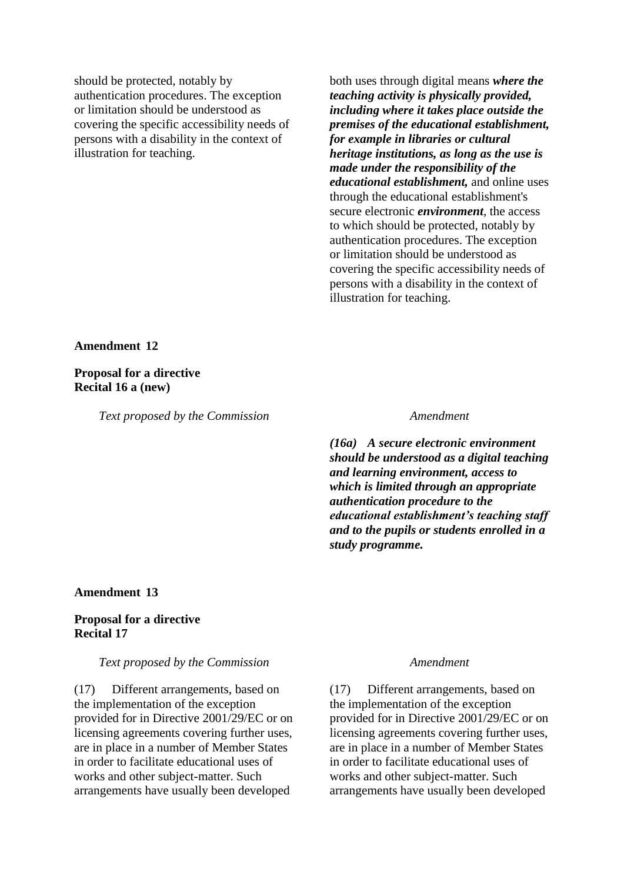should be protected, notably by authentication procedures. The exception or limitation should be understood as covering the specific accessibility needs of persons with a disability in the context of illustration for teaching.

both uses through digital means *where the teaching activity is physically provided, including where it takes place outside the premises of the educational establishment, for example in libraries or cultural heritage institutions, as long as the use is made under the responsibility of the educational establishment,* and online uses through the educational establishment's secure electronic *environment*, the access to which should be protected, notably by authentication procedures. The exception or limitation should be understood as covering the specific accessibility needs of persons with a disability in the context of illustration for teaching.

## **Amendment 12**

**Proposal for a directive Recital 16 a (new)**

*Text proposed by the Commission Amendment*

*(16a) A secure electronic environment should be understood as a digital teaching and learning environment, access to which is limited through an appropriate authentication procedure to the educational establishment's teaching staff and to the pupils or students enrolled in a study programme.*

## **Amendment 13**

## **Proposal for a directive Recital 17**

## *Text proposed by the Commission Amendment*

(17) Different arrangements, based on the implementation of the exception provided for in Directive 2001/29/EC or on licensing agreements covering further uses, are in place in a number of Member States in order to facilitate educational uses of works and other subject-matter. Such arrangements have usually been developed

(17) Different arrangements, based on the implementation of the exception provided for in Directive 2001/29/EC or on licensing agreements covering further uses, are in place in a number of Member States in order to facilitate educational uses of works and other subject-matter. Such arrangements have usually been developed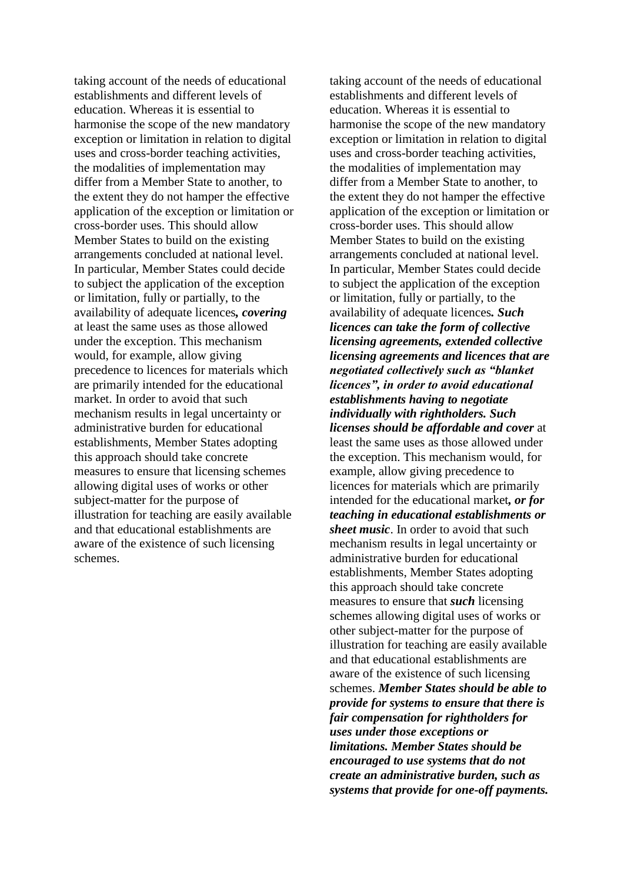taking account of the needs of educational establishments and different levels of education. Whereas it is essential to harmonise the scope of the new mandatory exception or limitation in relation to digital uses and cross-border teaching activities, the modalities of implementation may differ from a Member State to another, to the extent they do not hamper the effective application of the exception or limitation or cross-border uses. This should allow Member States to build on the existing arrangements concluded at national level. In particular, Member States could decide to subject the application of the exception or limitation, fully or partially, to the availability of adequate licences*, covering* at least the same uses as those allowed under the exception. This mechanism would, for example, allow giving precedence to licences for materials which are primarily intended for the educational market. In order to avoid that such mechanism results in legal uncertainty or administrative burden for educational establishments, Member States adopting this approach should take concrete measures to ensure that licensing schemes allowing digital uses of works or other subject-matter for the purpose of illustration for teaching are easily available and that educational establishments are aware of the existence of such licensing schemes.

taking account of the needs of educational establishments and different levels of education. Whereas it is essential to harmonise the scope of the new mandatory exception or limitation in relation to digital uses and cross-border teaching activities, the modalities of implementation may differ from a Member State to another, to the extent they do not hamper the effective application of the exception or limitation or cross-border uses. This should allow Member States to build on the existing arrangements concluded at national level. In particular, Member States could decide to subject the application of the exception or limitation, fully or partially, to the availability of adequate licences*. Such licences can take the form of collective licensing agreements, extended collective licensing agreements and licences that are negotiated collectively such as "blanket licences", in order to avoid educational establishments having to negotiate individually with rightholders. Such licenses should be affordable and cover* at least the same uses as those allowed under the exception. This mechanism would, for example, allow giving precedence to licences for materials which are primarily intended for the educational market*, or for teaching in educational establishments or sheet music*. In order to avoid that such mechanism results in legal uncertainty or administrative burden for educational establishments, Member States adopting this approach should take concrete measures to ensure that *such* licensing schemes allowing digital uses of works or other subject-matter for the purpose of illustration for teaching are easily available and that educational establishments are aware of the existence of such licensing schemes. *Member States should be able to provide for systems to ensure that there is fair compensation for rightholders for uses under those exceptions or limitations. Member States should be encouraged to use systems that do not create an administrative burden, such as systems that provide for one-off payments.*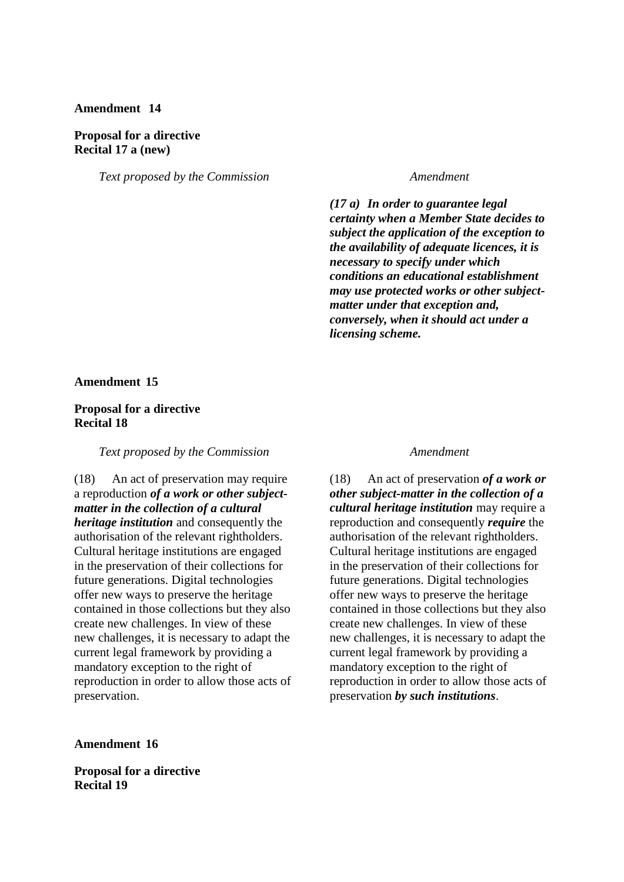## **Amendment 14**

### **Proposal for a directive Recital 17 a (new)**

*Text proposed by the Commission Amendment*

*(17 a) In order to guarantee legal certainty when a Member State decides to subject the application of the exception to the availability of adequate licences, it is necessary to specify under which conditions an educational establishment may use protected works or other subjectmatter under that exception and, conversely, when it should act under a licensing scheme.*

### **Amendment 15**

## **Proposal for a directive Recital 18**

*Text proposed by the Commission Amendment*

(18) An act of preservation may require a reproduction *of a work or other subjectmatter in the collection of a cultural heritage institution* and consequently the authorisation of the relevant rightholders. Cultural heritage institutions are engaged in the preservation of their collections for future generations. Digital technologies offer new ways to preserve the heritage contained in those collections but they also create new challenges. In view of these new challenges, it is necessary to adapt the current legal framework by providing a mandatory exception to the right of reproduction in order to allow those acts of preservation.

(18) An act of preservation *of a work or other subject-matter in the collection of a cultural heritage institution* may require a reproduction and consequently *require* the authorisation of the relevant rightholders. Cultural heritage institutions are engaged in the preservation of their collections for future generations. Digital technologies offer new ways to preserve the heritage contained in those collections but they also create new challenges. In view of these new challenges, it is necessary to adapt the current legal framework by providing a mandatory exception to the right of reproduction in order to allow those acts of preservation *by such institutions*.

**Amendment 16**

**Proposal for a directive Recital 19**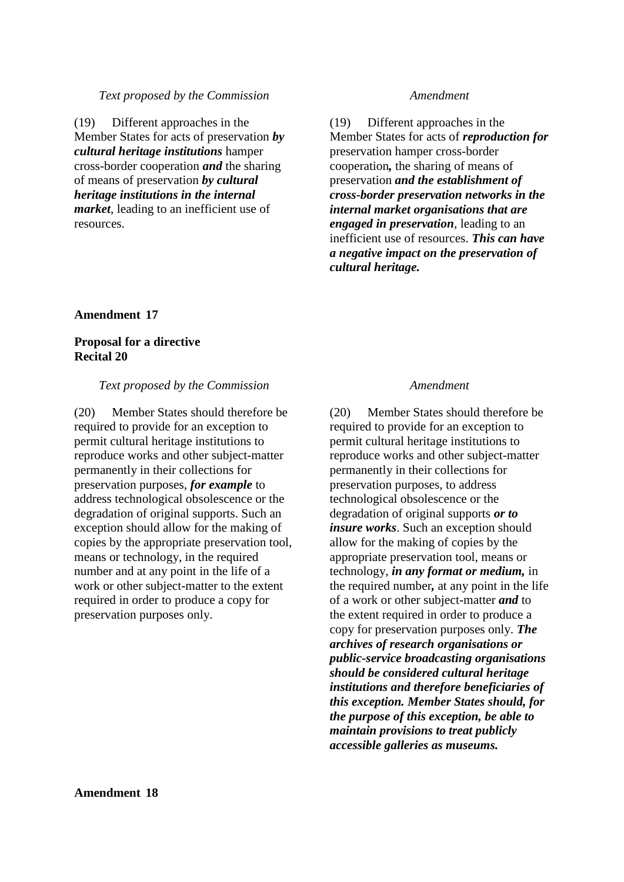### *Text proposed by the Commission Amendment*

(19) Different approaches in the Member States for acts of preservation *by cultural heritage institutions* hamper cross-border cooperation *and* the sharing of means of preservation *by cultural heritage institutions in the internal market*, leading to an inefficient use of resources.

(19) Different approaches in the Member States for acts of *reproduction for* preservation hamper cross-border cooperation*,* the sharing of means of preservation *and the establishment of cross-border preservation networks in the internal market organisations that are engaged in preservation*, leading to an inefficient use of resources. *This can have a negative impact on the preservation of cultural heritage.*

## **Amendment 17**

## **Proposal for a directive Recital 20**

## *Text proposed by the Commission Amendment*

(20) Member States should therefore be required to provide for an exception to permit cultural heritage institutions to reproduce works and other subject-matter permanently in their collections for preservation purposes, *for example* to address technological obsolescence or the degradation of original supports. Such an exception should allow for the making of copies by the appropriate preservation tool, means or technology, in the required number and at any point in the life of a work or other subject-matter to the extent required in order to produce a copy for preservation purposes only.

(20) Member States should therefore be required to provide for an exception to permit cultural heritage institutions to reproduce works and other subject-matter permanently in their collections for preservation purposes, to address technological obsolescence or the degradation of original supports *or to insure works*. Such an exception should allow for the making of copies by the appropriate preservation tool, means or technology, *in any format or medium,* in the required number*,* at any point in the life of a work or other subject-matter *and* to the extent required in order to produce a copy for preservation purposes only. *The archives of research organisations or public-service broadcasting organisations should be considered cultural heritage institutions and therefore beneficiaries of this exception. Member States should, for the purpose of this exception, be able to maintain provisions to treat publicly accessible galleries as museums.*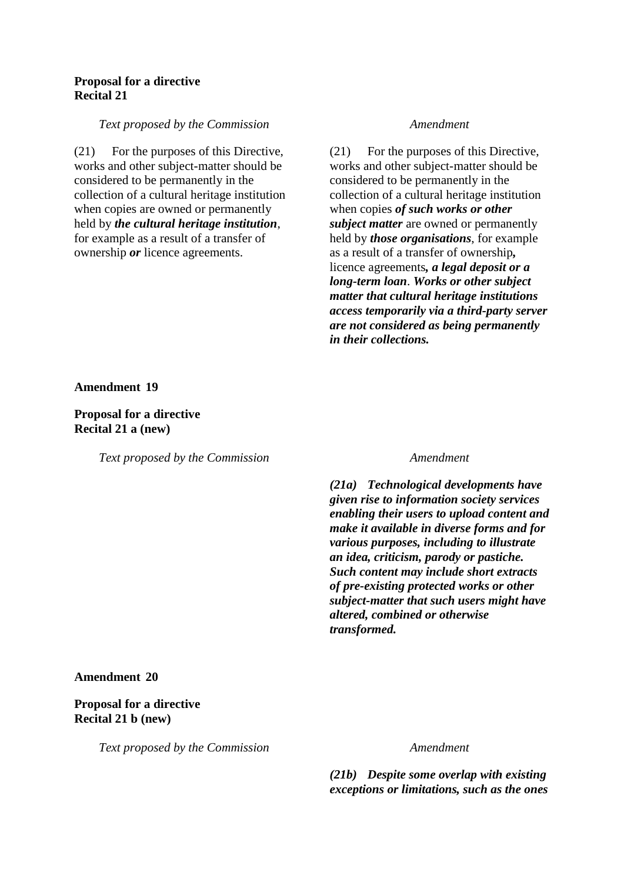## **Proposal for a directive Recital 21**

### *Text proposed by the Commission Amendment*

(21) For the purposes of this Directive, works and other subject-matter should be considered to be permanently in the collection of a cultural heritage institution when copies are owned or permanently held by *the cultural heritage institution*, for example as a result of a transfer of ownership *or* licence agreements.

(21) For the purposes of this Directive, works and other subject-matter should be considered to be permanently in the collection of a cultural heritage institution when copies *of such works or other subject matter* are owned or permanently held by *those organisations*, for example as a result of a transfer of ownership*,* licence agreements*, a legal deposit or a long-term loan*. *Works or other subject matter that cultural heritage institutions access temporarily via a third-party server are not considered as being permanently in their collections.*

**Amendment 19**

## **Proposal for a directive Recital 21 a (new)**

*Text proposed by the Commission Amendment*

*(21a) Technological developments have given rise to information society services enabling their users to upload content and make it available in diverse forms and for various purposes, including to illustrate an idea, criticism, parody or pastiche. Such content may include short extracts of pre-existing protected works or other subject-matter that such users might have altered, combined or otherwise transformed.*

## **Amendment 20**

## **Proposal for a directive Recital 21 b (new)**

*Text proposed by the Commission Amendment*

*(21b) Despite some overlap with existing exceptions or limitations, such as the ones*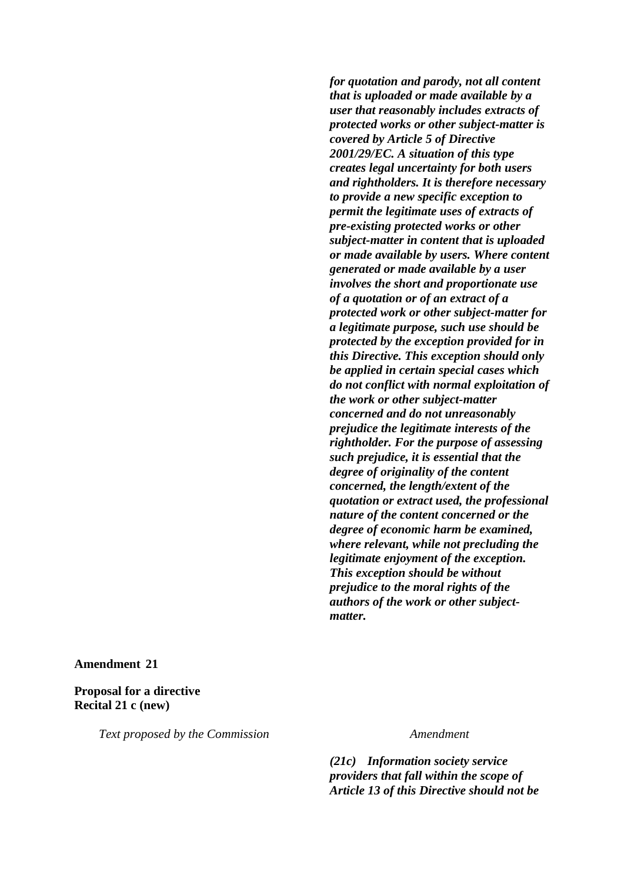*for quotation and parody, not all content that is uploaded or made available by a user that reasonably includes extracts of protected works or other subject-matter is covered by Article 5 of Directive 2001/29/EC. A situation of this type creates legal uncertainty for both users and rightholders. It is therefore necessary to provide a new specific exception to permit the legitimate uses of extracts of pre-existing protected works or other subject-matter in content that is uploaded or made available by users. Where content generated or made available by a user involves the short and proportionate use of a quotation or of an extract of a protected work or other subject-matter for a legitimate purpose, such use should be protected by the exception provided for in this Directive. This exception should only be applied in certain special cases which do not conflict with normal exploitation of the work or other subject-matter concerned and do not unreasonably prejudice the legitimate interests of the rightholder. For the purpose of assessing such prejudice, it is essential that the degree of originality of the content concerned, the length/extent of the quotation or extract used, the professional nature of the content concerned or the degree of economic harm be examined, where relevant, while not precluding the legitimate enjoyment of the exception. This exception should be without prejudice to the moral rights of the authors of the work or other subjectmatter.*

**Amendment 21**

**Proposal for a directive Recital 21 c (new)**

*Text proposed by the Commission Amendment*

*(21c) Information society service providers that fall within the scope of Article 13 of this Directive should not be*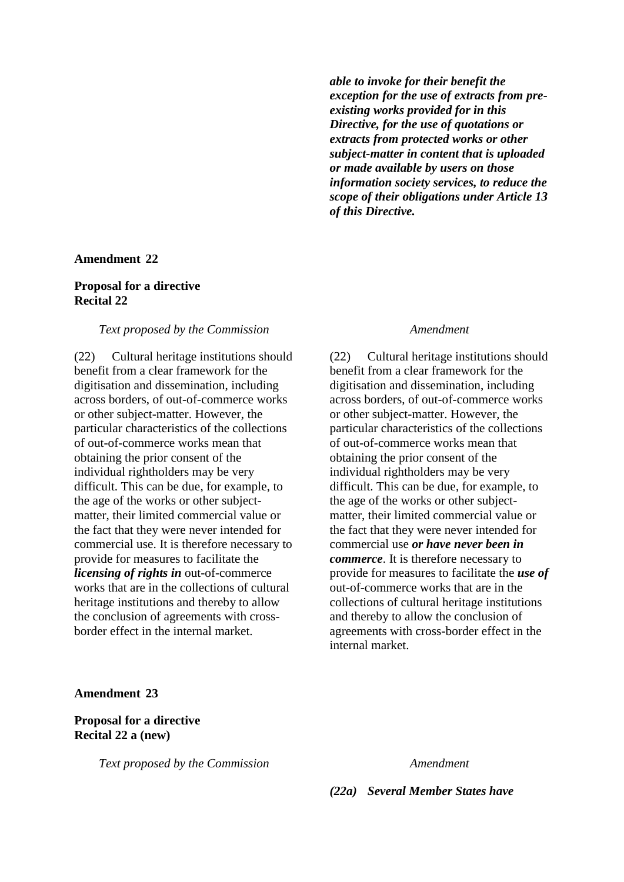*able to invoke for their benefit the exception for the use of extracts from preexisting works provided for in this Directive, for the use of quotations or extracts from protected works or other subject-matter in content that is uploaded or made available by users on those information society services, to reduce the scope of their obligations under Article 13 of this Directive.*

### **Amendment 22**

## **Proposal for a directive Recital 22**

### *Text proposed by the Commission Amendment*

(22) Cultural heritage institutions should benefit from a clear framework for the digitisation and dissemination, including across borders, of out-of-commerce works or other subject-matter. However, the particular characteristics of the collections of out-of-commerce works mean that obtaining the prior consent of the individual rightholders may be very difficult. This can be due, for example, to the age of the works or other subjectmatter, their limited commercial value or the fact that they were never intended for commercial use. It is therefore necessary to provide for measures to facilitate the *licensing of rights in* out-of-commerce works that are in the collections of cultural heritage institutions and thereby to allow the conclusion of agreements with crossborder effect in the internal market.

(22) Cultural heritage institutions should benefit from a clear framework for the digitisation and dissemination, including across borders, of out-of-commerce works or other subject-matter. However, the particular characteristics of the collections of out-of-commerce works mean that obtaining the prior consent of the individual rightholders may be very difficult. This can be due, for example, to the age of the works or other subjectmatter, their limited commercial value or the fact that they were never intended for commercial use *or have never been in commerce*. It is therefore necessary to provide for measures to facilitate the *use of* out-of-commerce works that are in the collections of cultural heritage institutions and thereby to allow the conclusion of agreements with cross-border effect in the internal market.

### **Amendment 23**

## **Proposal for a directive Recital 22 a (new)**

*Text proposed by the Commission Amendment*

*(22a) Several Member States have*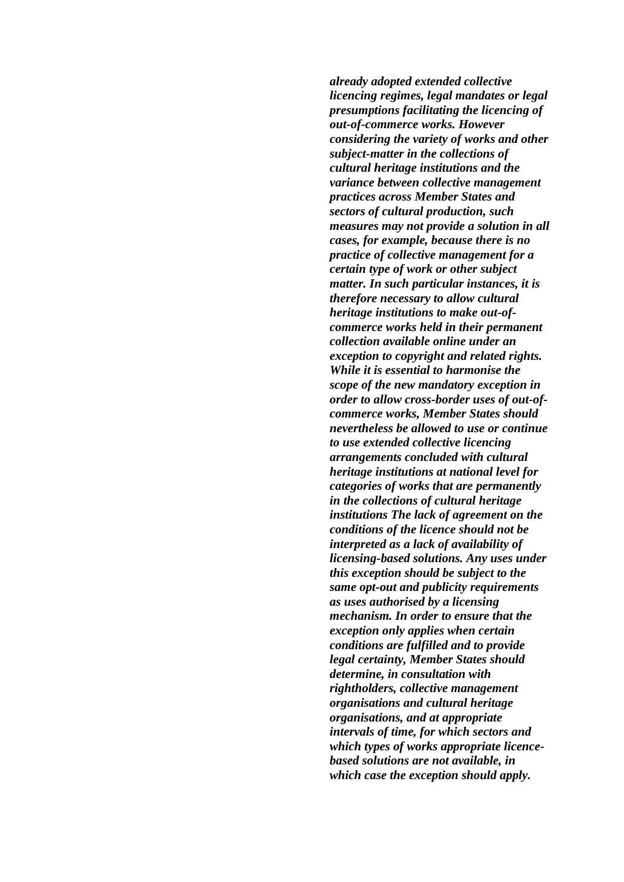*already adopted extended collective licencing regimes, legal mandates or legal presumptions facilitating the licencing of out-of-commerce works. However considering the variety of works and other subject-matter in the collections of cultural heritage institutions and the variance between collective management practices across Member States and sectors of cultural production, such measures may not provide a solution in all cases, for example, because there is no practice of collective management for a certain type of work or other subject matter. In such particular instances, it is therefore necessary to allow cultural heritage institutions to make out-ofcommerce works held in their permanent collection available online under an exception to copyright and related rights. While it is essential to harmonise the scope of the new mandatory exception in order to allow cross-border uses of out-ofcommerce works, Member States should nevertheless be allowed to use or continue to use extended collective licencing arrangements concluded with cultural heritage institutions at national level for categories of works that are permanently in the collections of cultural heritage institutions The lack of agreement on the conditions of the licence should not be interpreted as a lack of availability of licensing-based solutions. Any uses under this exception should be subject to the same opt-out and publicity requirements as uses authorised by a licensing mechanism. In order to ensure that the exception only applies when certain conditions are fulfilled and to provide legal certainty, Member States should determine, in consultation with rightholders, collective management organisations and cultural heritage organisations, and at appropriate intervals of time, for which sectors and which types of works appropriate licencebased solutions are not available, in which case the exception should apply.*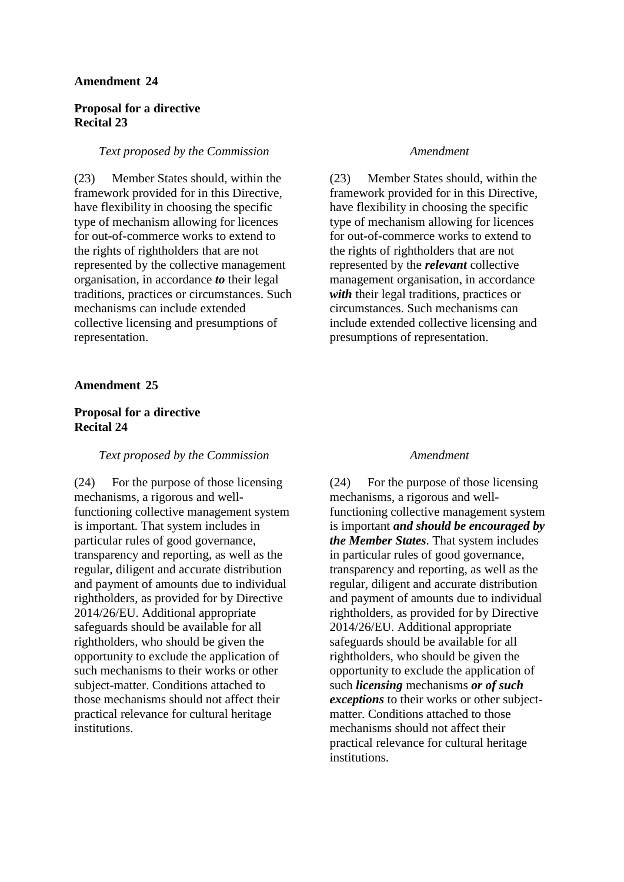## **Amendment 24**

## **Proposal for a directive Recital 23**

### *Text proposed by the Commission Amendment*

(23) Member States should, within the framework provided for in this Directive, have flexibility in choosing the specific type of mechanism allowing for licences for out-of-commerce works to extend to the rights of rightholders that are not represented by the collective management organisation, in accordance *to* their legal traditions, practices or circumstances. Such mechanisms can include extended collective licensing and presumptions of representation.

## **Amendment 25**

## **Proposal for a directive Recital 24**

### *Text proposed by the Commission Amendment*

(24) For the purpose of those licensing mechanisms, a rigorous and wellfunctioning collective management system is important. That system includes in particular rules of good governance, transparency and reporting, as well as the regular, diligent and accurate distribution and payment of amounts due to individual rightholders, as provided for by Directive 2014/26/EU. Additional appropriate safeguards should be available for all rightholders, who should be given the opportunity to exclude the application of such mechanisms to their works or other subject-matter. Conditions attached to those mechanisms should not affect their practical relevance for cultural heritage institutions.

(23) Member States should, within the framework provided for in this Directive, have flexibility in choosing the specific type of mechanism allowing for licences for out-of-commerce works to extend to the rights of rightholders that are not represented by the *relevant* collective management organisation, in accordance *with* their legal traditions, practices or circumstances. Such mechanisms can include extended collective licensing and presumptions of representation.

(24) For the purpose of those licensing mechanisms, a rigorous and wellfunctioning collective management system is important *and should be encouraged by the Member States*. That system includes in particular rules of good governance, transparency and reporting, as well as the regular, diligent and accurate distribution and payment of amounts due to individual rightholders, as provided for by Directive 2014/26/EU. Additional appropriate safeguards should be available for all rightholders, who should be given the opportunity to exclude the application of such *licensing* mechanisms *or of such exceptions* to their works or other subjectmatter. Conditions attached to those mechanisms should not affect their practical relevance for cultural heritage institutions.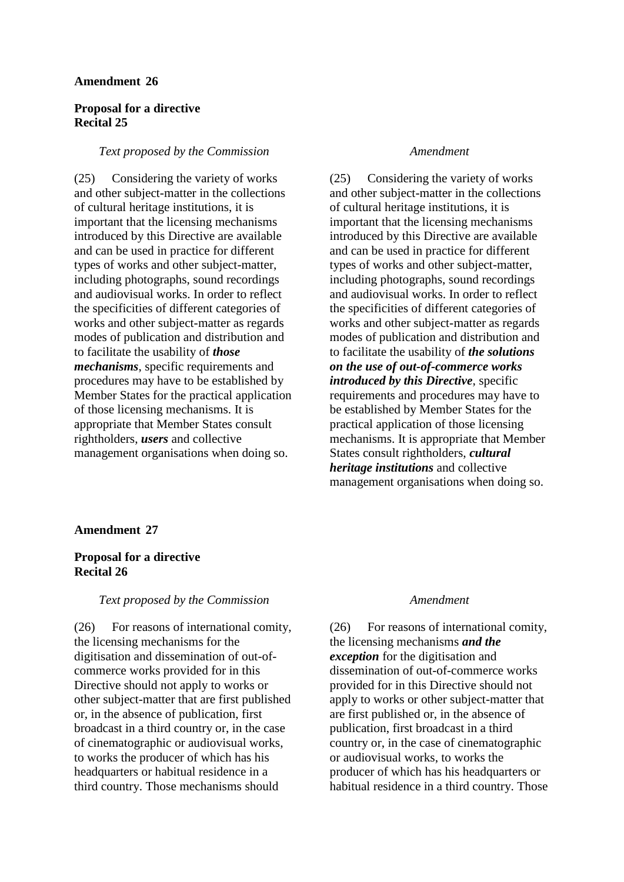## **Amendment 26**

## **Proposal for a directive Recital 25**

### *Text proposed by the Commission Amendment*

(25) Considering the variety of works and other subject-matter in the collections of cultural heritage institutions, it is important that the licensing mechanisms introduced by this Directive are available and can be used in practice for different types of works and other subject-matter, including photographs, sound recordings and audiovisual works. In order to reflect the specificities of different categories of works and other subject-matter as regards modes of publication and distribution and to facilitate the usability of *those mechanisms*, specific requirements and procedures may have to be established by Member States for the practical application of those licensing mechanisms. It is appropriate that Member States consult rightholders, *users* and collective management organisations when doing so.

(25) Considering the variety of works and other subject-matter in the collections of cultural heritage institutions, it is important that the licensing mechanisms introduced by this Directive are available and can be used in practice for different types of works and other subject-matter, including photographs, sound recordings and audiovisual works. In order to reflect the specificities of different categories of works and other subject-matter as regards modes of publication and distribution and to facilitate the usability of *the solutions on the use of out-of-commerce works introduced by this Directive*, specific requirements and procedures may have to be established by Member States for the practical application of those licensing mechanisms. It is appropriate that Member States consult rightholders, *cultural heritage institutions* and collective management organisations when doing so.

### **Amendment 27**

## **Proposal for a directive Recital 26**

## *Text proposed by the Commission Amendment*

(26) For reasons of international comity, the licensing mechanisms for the digitisation and dissemination of out-ofcommerce works provided for in this Directive should not apply to works or other subject-matter that are first published or, in the absence of publication, first broadcast in a third country or, in the case of cinematographic or audiovisual works, to works the producer of which has his headquarters or habitual residence in a third country. Those mechanisms should

(26) For reasons of international comity, the licensing mechanisms *and the exception* for the digitisation and dissemination of out-of-commerce works provided for in this Directive should not apply to works or other subject-matter that are first published or, in the absence of publication, first broadcast in a third country or, in the case of cinematographic or audiovisual works, to works the producer of which has his headquarters or habitual residence in a third country. Those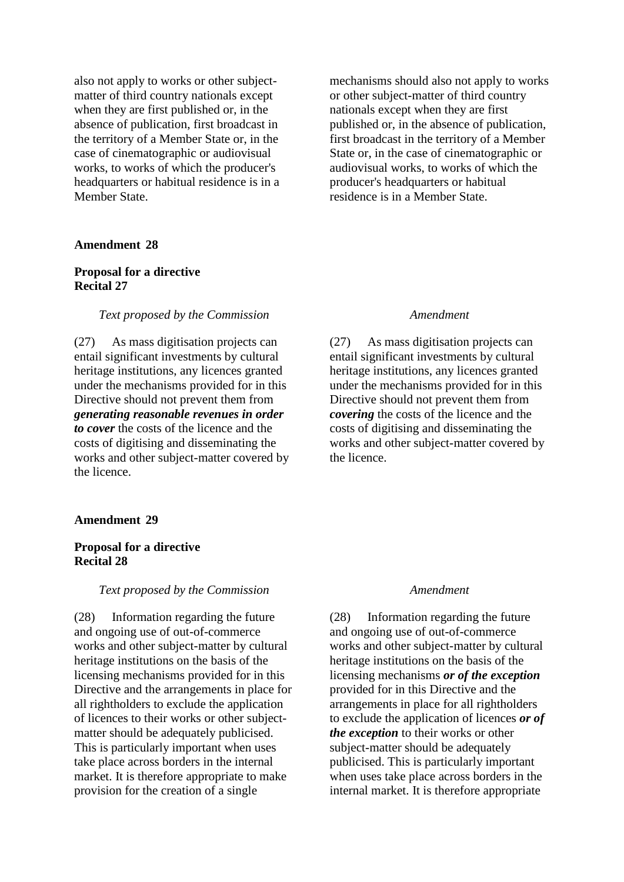also not apply to works or other subjectmatter of third country nationals except when they are first published or, in the absence of publication, first broadcast in the territory of a Member State or, in the case of cinematographic or audiovisual works, to works of which the producer's headquarters or habitual residence is in a Member State.

### **Amendment 28**

## **Proposal for a directive Recital 27**

### *Text proposed by the Commission Amendment*

(27) As mass digitisation projects can entail significant investments by cultural heritage institutions, any licences granted under the mechanisms provided for in this Directive should not prevent them from *generating reasonable revenues in order to cover* the costs of the licence and the costs of digitising and disseminating the works and other subject-matter covered by the licence.

### **Amendment 29**

## **Proposal for a directive Recital 28**

### *Text proposed by the Commission Amendment*

(28) Information regarding the future and ongoing use of out-of-commerce works and other subject-matter by cultural heritage institutions on the basis of the licensing mechanisms provided for in this Directive and the arrangements in place for all rightholders to exclude the application of licences to their works or other subjectmatter should be adequately publicised. This is particularly important when uses take place across borders in the internal market. It is therefore appropriate to make provision for the creation of a single

mechanisms should also not apply to works or other subject-matter of third country nationals except when they are first published or, in the absence of publication, first broadcast in the territory of a Member State or, in the case of cinematographic or audiovisual works, to works of which the producer's headquarters or habitual residence is in a Member State.

(27) As mass digitisation projects can entail significant investments by cultural heritage institutions, any licences granted under the mechanisms provided for in this Directive should not prevent them from *covering* the costs of the licence and the costs of digitising and disseminating the works and other subject-matter covered by the licence.

(28) Information regarding the future and ongoing use of out-of-commerce works and other subject-matter by cultural heritage institutions on the basis of the licensing mechanisms *or of the exception* provided for in this Directive and the arrangements in place for all rightholders to exclude the application of licences *or of the exception* to their works or other subject-matter should be adequately publicised. This is particularly important when uses take place across borders in the internal market. It is therefore appropriate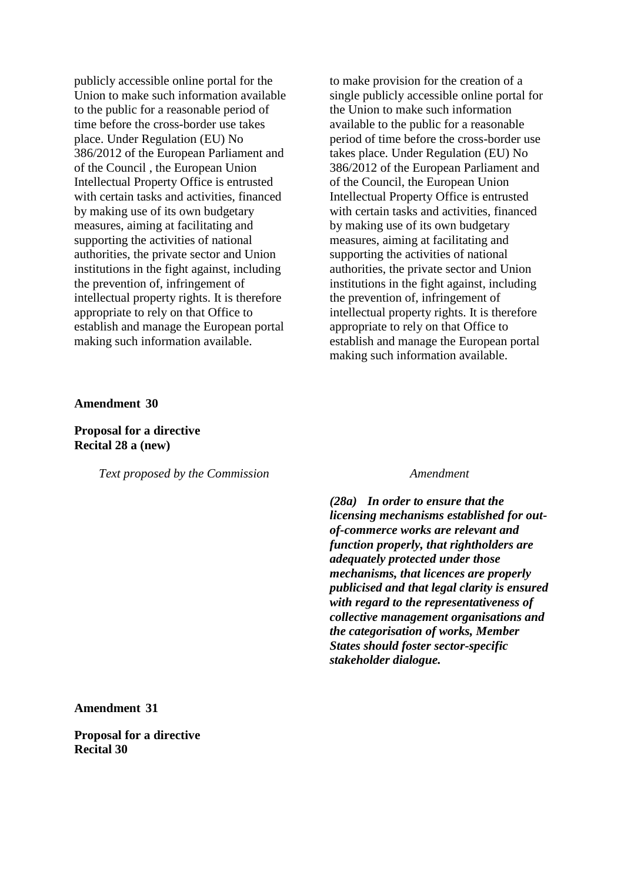publicly accessible online portal for the Union to make such information available to the public for a reasonable period of time before the cross-border use takes place. Under Regulation (EU) No 386/2012 of the European Parliament and of the Council , the European Union Intellectual Property Office is entrusted with certain tasks and activities, financed by making use of its own budgetary measures, aiming at facilitating and supporting the activities of national authorities, the private sector and Union institutions in the fight against, including the prevention of, infringement of intellectual property rights. It is therefore appropriate to rely on that Office to establish and manage the European portal making such information available.

to make provision for the creation of a single publicly accessible online portal for the Union to make such information available to the public for a reasonable period of time before the cross-border use takes place. Under Regulation (EU) No 386/2012 of the European Parliament and of the Council, the European Union Intellectual Property Office is entrusted with certain tasks and activities, financed by making use of its own budgetary measures, aiming at facilitating and supporting the activities of national authorities, the private sector and Union institutions in the fight against, including the prevention of, infringement of intellectual property rights. It is therefore appropriate to rely on that Office to establish and manage the European portal making such information available.

### **Amendment 30**

## **Proposal for a directive Recital 28 a (new)**

*Text proposed by the Commission Amendment*

*(28a) In order to ensure that the licensing mechanisms established for outof-commerce works are relevant and function properly, that rightholders are adequately protected under those mechanisms, that licences are properly publicised and that legal clarity is ensured with regard to the representativeness of collective management organisations and the categorisation of works, Member States should foster sector-specific stakeholder dialogue.*

**Amendment 31**

**Proposal for a directive Recital 30**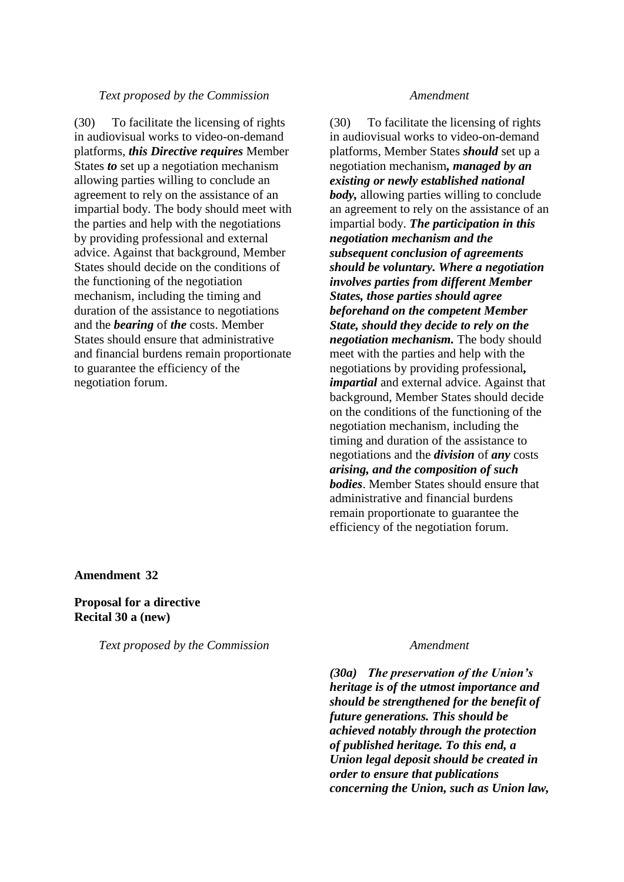### *Text proposed by the Commission Amendment*

(30) To facilitate the licensing of rights in audiovisual works to video-on-demand platforms, *this Directive requires* Member States *to* set up a negotiation mechanism allowing parties willing to conclude an agreement to rely on the assistance of an impartial body. The body should meet with the parties and help with the negotiations by providing professional and external advice. Against that background, Member States should decide on the conditions of the functioning of the negotiation mechanism, including the timing and duration of the assistance to negotiations and the *bearing* of *the* costs. Member States should ensure that administrative and financial burdens remain proportionate to guarantee the efficiency of the negotiation forum.

(30) To facilitate the licensing of rights in audiovisual works to video-on-demand platforms, Member States *should* set up a negotiation mechanism*, managed by an existing or newly established national body,* allowing parties willing to conclude an agreement to rely on the assistance of an impartial body. *The participation in this negotiation mechanism and the subsequent conclusion of agreements should be voluntary. Where a negotiation involves parties from different Member States, those parties should agree beforehand on the competent Member State, should they decide to rely on the negotiation mechanism.* The body should meet with the parties and help with the negotiations by providing professional*, impartial* and external advice. Against that background, Member States should decide on the conditions of the functioning of the negotiation mechanism, including the timing and duration of the assistance to negotiations and the *division* of *any* costs *arising, and the composition of such bodies*. Member States should ensure that administrative and financial burdens remain proportionate to guarantee the efficiency of the negotiation forum.

**Amendment 32**

**Proposal for a directive Recital 30 a (new)**

*Text proposed by the Commission Amendment*

*(30a) The preservation of the Union's heritage is of the utmost importance and should be strengthened for the benefit of future generations. This should be achieved notably through the protection of published heritage. To this end, a Union legal deposit should be created in order to ensure that publications concerning the Union, such as Union law,*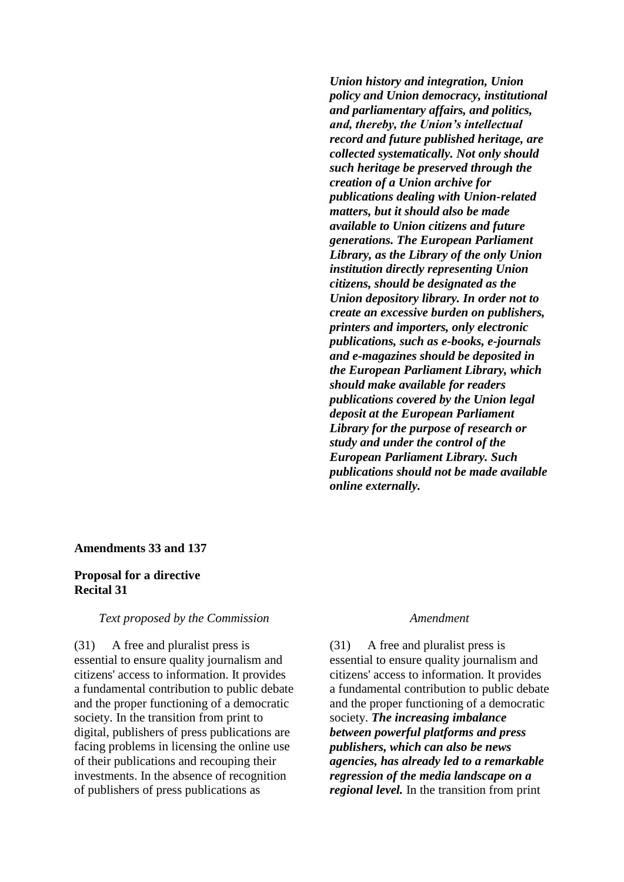*Union history and integration, Union policy and Union democracy, institutional and parliamentary affairs, and politics, and, thereby, the Union's intellectual record and future published heritage, are collected systematically. Not only should such heritage be preserved through the creation of a Union archive for publications dealing with Union-related matters, but it should also be made available to Union citizens and future generations. The European Parliament Library, as the Library of the only Union institution directly representing Union citizens, should be designated as the Union depository library. In order not to create an excessive burden on publishers, printers and importers, only electronic publications, such as e-books, e-journals and e-magazines should be deposited in the European Parliament Library, which should make available for readers publications covered by the Union legal deposit at the European Parliament Library for the purpose of research or study and under the control of the European Parliament Library. Such publications should not be made available online externally.*

## **Amendments 33 and 137**

## **Proposal for a directive Recital 31**

### *Text proposed by the Commission Amendment*

(31) A free and pluralist press is essential to ensure quality journalism and citizens' access to information. It provides a fundamental contribution to public debate and the proper functioning of a democratic society. In the transition from print to digital, publishers of press publications are facing problems in licensing the online use of their publications and recouping their investments. In the absence of recognition of publishers of press publications as

(31) A free and pluralist press is essential to ensure quality journalism and citizens' access to information. It provides a fundamental contribution to public debate and the proper functioning of a democratic society. *The increasing imbalance between powerful platforms and press publishers, which can also be news agencies, has already led to a remarkable regression of the media landscape on a regional level.* In the transition from print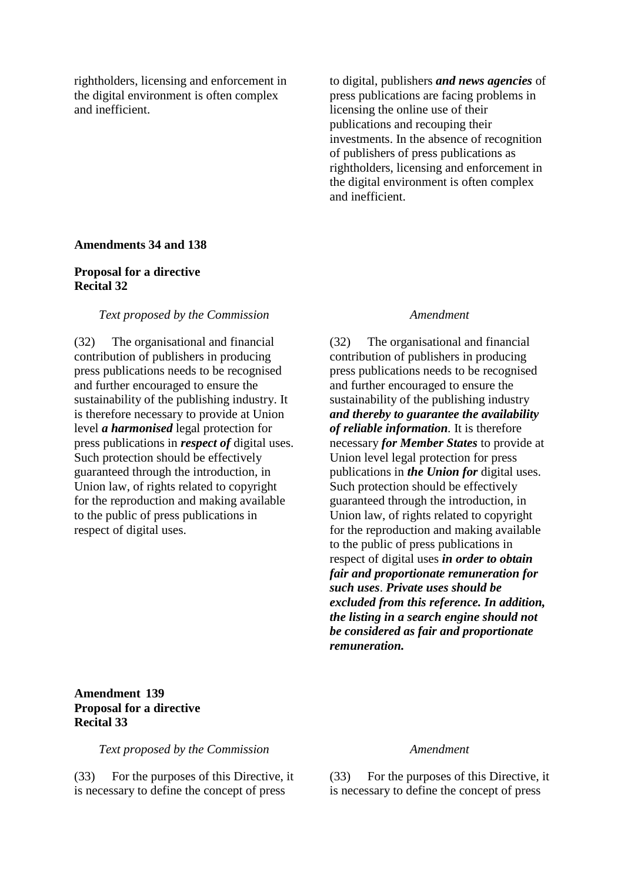rightholders, licensing and enforcement in the digital environment is often complex and inefficient.

to digital, publishers *and news agencies* of press publications are facing problems in licensing the online use of their publications and recouping their investments. In the absence of recognition of publishers of press publications as rightholders, licensing and enforcement in the digital environment is often complex and inefficient.

## **Amendments 34 and 138**

## **Proposal for a directive Recital 32**

### *Text proposed by the Commission Amendment*

(32) The organisational and financial contribution of publishers in producing press publications needs to be recognised and further encouraged to ensure the sustainability of the publishing industry. It is therefore necessary to provide at Union level *a harmonised* legal protection for press publications in *respect of* digital uses. Such protection should be effectively guaranteed through the introduction, in Union law, of rights related to copyright for the reproduction and making available to the public of press publications in respect of digital uses.

(32) The organisational and financial contribution of publishers in producing press publications needs to be recognised and further encouraged to ensure the sustainability of the publishing industry *and thereby to guarantee the availability of reliable information.* It is therefore necessary *for Member States* to provide at Union level legal protection for press publications in *the Union for* digital uses. Such protection should be effectively guaranteed through the introduction, in Union law, of rights related to copyright for the reproduction and making available to the public of press publications in respect of digital uses *in order to obtain fair and proportionate remuneration for such uses*. *Private uses should be excluded from this reference. In addition, the listing in a search engine should not be considered as fair and proportionate remuneration.*

## **Amendment 139 Proposal for a directive Recital 33**

*Text proposed by the Commission Amendment*

(33) For the purposes of this Directive, it is necessary to define the concept of press

(33) For the purposes of this Directive, it is necessary to define the concept of press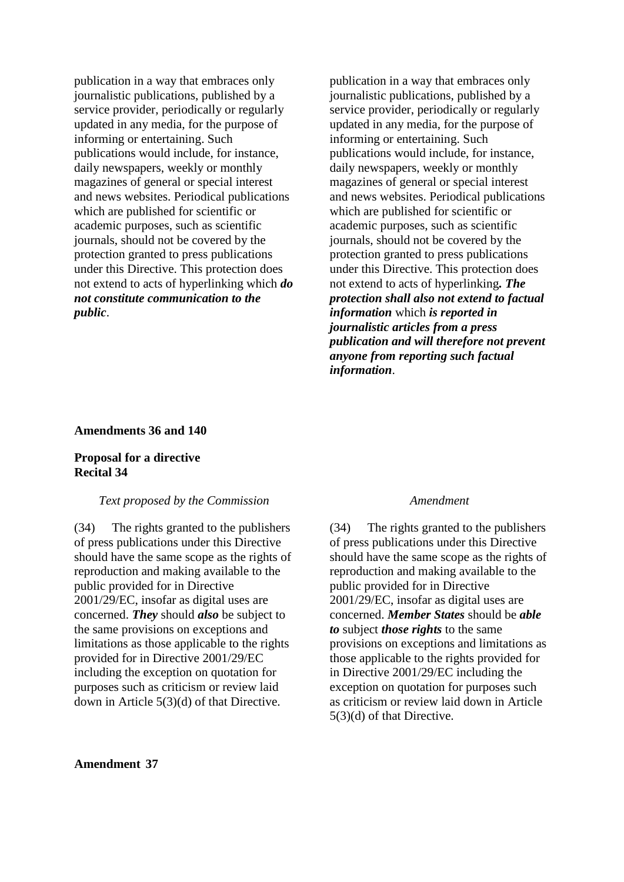publication in a way that embraces only journalistic publications, published by a service provider, periodically or regularly updated in any media, for the purpose of informing or entertaining. Such publications would include, for instance, daily newspapers, weekly or monthly magazines of general or special interest and news websites. Periodical publications which are published for scientific or academic purposes, such as scientific journals, should not be covered by the protection granted to press publications under this Directive. This protection does not extend to acts of hyperlinking which *do not constitute communication to the public*.

publication in a way that embraces only journalistic publications, published by a service provider, periodically or regularly updated in any media, for the purpose of informing or entertaining. Such publications would include, for instance, daily newspapers, weekly or monthly magazines of general or special interest and news websites. Periodical publications which are published for scientific or academic purposes, such as scientific journals, should not be covered by the protection granted to press publications under this Directive. This protection does not extend to acts of hyperlinking*. The protection shall also not extend to factual information* which *is reported in journalistic articles from a press publication and will therefore not prevent anyone from reporting such factual information*.

## **Amendments 36 and 140**

## **Proposal for a directive Recital 34**

## *Text proposed by the Commission Amendment*

(34) The rights granted to the publishers of press publications under this Directive should have the same scope as the rights of reproduction and making available to the public provided for in Directive 2001/29/EC, insofar as digital uses are concerned. *They* should *also* be subject to the same provisions on exceptions and limitations as those applicable to the rights provided for in Directive 2001/29/EC including the exception on quotation for purposes such as criticism or review laid down in Article 5(3)(d) of that Directive.

(34) The rights granted to the publishers of press publications under this Directive should have the same scope as the rights of reproduction and making available to the public provided for in Directive 2001/29/EC, insofar as digital uses are concerned. *Member States* should be *able to* subject *those rights* to the same provisions on exceptions and limitations as those applicable to the rights provided for in Directive 2001/29/EC including the exception on quotation for purposes such as criticism or review laid down in Article 5(3)(d) of that Directive.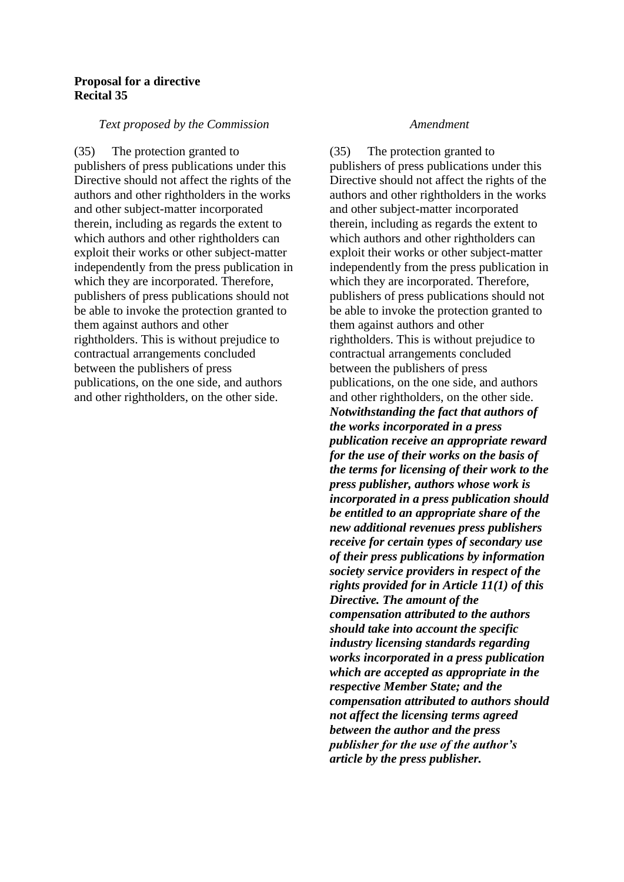## **Proposal for a directive Recital 35**

## *Text proposed by the Commission Amendment*

(35) The protection granted to publishers of press publications under this Directive should not affect the rights of the authors and other rightholders in the works and other subject-matter incorporated therein, including as regards the extent to which authors and other rightholders can exploit their works or other subject-matter independently from the press publication in which they are incorporated. Therefore, publishers of press publications should not be able to invoke the protection granted to them against authors and other rightholders. This is without prejudice to contractual arrangements concluded between the publishers of press publications, on the one side, and authors and other rightholders, on the other side.

(35) The protection granted to publishers of press publications under this Directive should not affect the rights of the authors and other rightholders in the works and other subject-matter incorporated therein, including as regards the extent to which authors and other rightholders can exploit their works or other subject-matter independently from the press publication in which they are incorporated. Therefore, publishers of press publications should not be able to invoke the protection granted to them against authors and other rightholders. This is without prejudice to contractual arrangements concluded between the publishers of press publications, on the one side, and authors and other rightholders, on the other side. *Notwithstanding the fact that authors of the works incorporated in a press publication receive an appropriate reward for the use of their works on the basis of the terms for licensing of their work to the press publisher, authors whose work is incorporated in a press publication should be entitled to an appropriate share of the new additional revenues press publishers receive for certain types of secondary use of their press publications by information society service providers in respect of the rights provided for in Article 11(1) of this Directive. The amount of the compensation attributed to the authors should take into account the specific industry licensing standards regarding works incorporated in a press publication which are accepted as appropriate in the respective Member State; and the compensation attributed to authors should not affect the licensing terms agreed between the author and the press publisher for the use of the author's article by the press publisher.*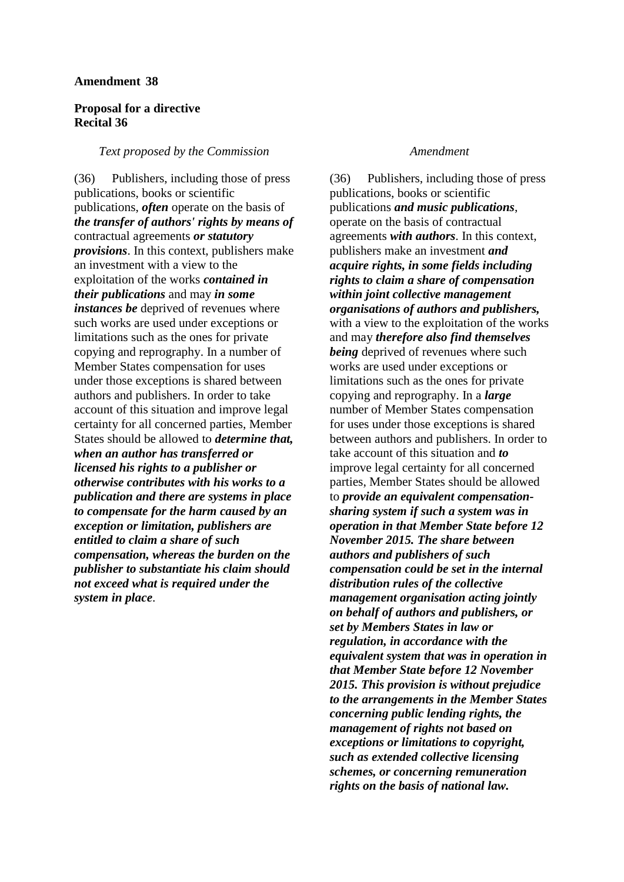### **Amendment 38**

## **Proposal for a directive Recital 36**

### *Text proposed by the Commission Amendment*

(36) Publishers, including those of press publications, books or scientific publications, *often* operate on the basis of *the transfer of authors' rights by means of* contractual agreements *or statutory provisions*. In this context, publishers make an investment with a view to the exploitation of the works *contained in their publications* and may *in some instances be* deprived of revenues where such works are used under exceptions or limitations such as the ones for private copying and reprography. In a number of Member States compensation for uses under those exceptions is shared between authors and publishers. In order to take account of this situation and improve legal certainty for all concerned parties, Member States should be allowed to *determine that, when an author has transferred or licensed his rights to a publisher or otherwise contributes with his works to a publication and there are systems in place to compensate for the harm caused by an exception or limitation, publishers are entitled to claim a share of such compensation, whereas the burden on the publisher to substantiate his claim should not exceed what is required under the system in place*.

(36) Publishers, including those of press publications, books or scientific publications *and music publications*, operate on the basis of contractual agreements *with authors*. In this context, publishers make an investment *and acquire rights, in some fields including rights to claim a share of compensation within joint collective management organisations of authors and publishers,*  with a view to the exploitation of the works and may *therefore also find themselves being* deprived of revenues where such works are used under exceptions or limitations such as the ones for private copying and reprography. In a *large* number of Member States compensation for uses under those exceptions is shared between authors and publishers. In order to take account of this situation and *to* improve legal certainty for all concerned parties, Member States should be allowed to *provide an equivalent compensationsharing system if such a system was in operation in that Member State before 12 November 2015. The share between authors and publishers of such compensation could be set in the internal distribution rules of the collective management organisation acting jointly on behalf of authors and publishers, or set by Members States in law or regulation, in accordance with the equivalent system that was in operation in that Member State before 12 November 2015. This provision is without prejudice to the arrangements in the Member States concerning public lending rights, the management of rights not based on exceptions or limitations to copyright, such as extended collective licensing schemes, or concerning remuneration rights on the basis of national law.*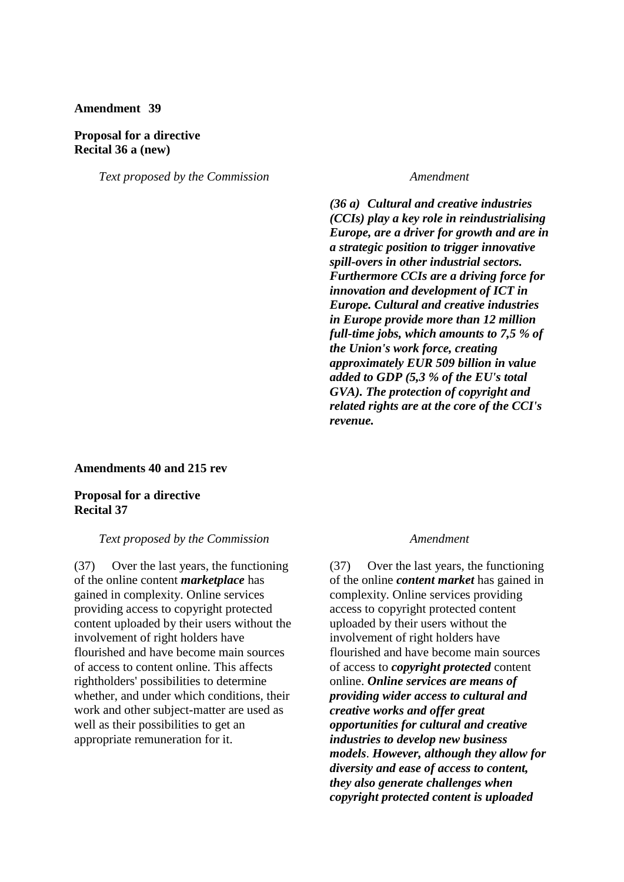## **Amendment 39**

### **Proposal for a directive Recital 36 a (new)**

*Text proposed by the Commission Amendment*

*(36 a) Cultural and creative industries (CCIs) play a key role in reindustrialising Europe, are a driver for growth and are in a strategic position to trigger innovative spill-overs in other industrial sectors. Furthermore CCIs are a driving force for innovation and development of ICT in Europe. Cultural and creative industries in Europe provide more than 12 million full-time jobs, which amounts to 7,5 % of the Union's work force, creating approximately EUR 509 billion in value added to GDP (5,3 % of the EU's total GVA). The protection of copyright and related rights are at the core of the CCI's revenue.*

## **Amendments 40 and 215 rev**

**Proposal for a directive Recital 37**

### *Text proposed by the Commission Amendment*

(37) Over the last years, the functioning of the online content *marketplace* has gained in complexity. Online services providing access to copyright protected content uploaded by their users without the involvement of right holders have flourished and have become main sources of access to content online. This affects rightholders' possibilities to determine whether, and under which conditions, their work and other subject-matter are used as well as their possibilities to get an appropriate remuneration for it.

(37) Over the last years, the functioning of the online *content market* has gained in complexity. Online services providing access to copyright protected content uploaded by their users without the involvement of right holders have flourished and have become main sources of access to *copyright protected* content online. *Online services are means of providing wider access to cultural and creative works and offer great opportunities for cultural and creative industries to develop new business models*. *However, although they allow for diversity and ease of access to content, they also generate challenges when copyright protected content is uploaded*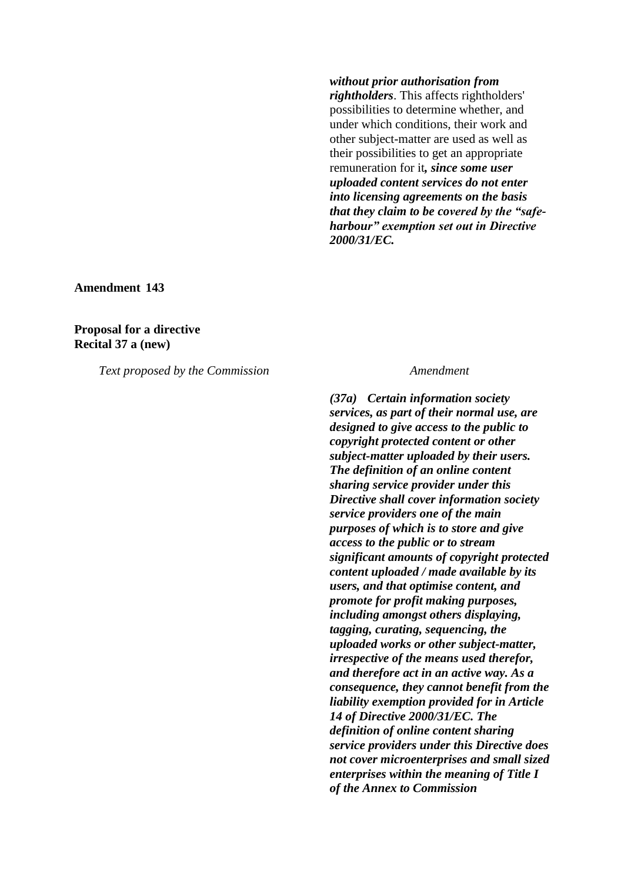*without prior authorisation from rightholders*. This affects rightholders' possibilities to determine whether, and under which conditions, their work and other subject-matter are used as well as their possibilities to get an appropriate remuneration for it*, since some user uploaded content services do not enter into licensing agreements on the basis that they claim to be covered by the "safeharbour" exemption set out in Directive 2000/31/EC.*

**Amendment 143**

## **Proposal for a directive Recital 37 a (new)**

*Text proposed by the Commission Amendment*

*(37a) Certain information society services, as part of their normal use, are designed to give access to the public to copyright protected content or other subject-matter uploaded by their users. The definition of an online content sharing service provider under this Directive shall cover information society service providers one of the main purposes of which is to store and give access to the public or to stream significant amounts of copyright protected content uploaded / made available by its users, and that optimise content, and promote for profit making purposes, including amongst others displaying, tagging, curating, sequencing, the uploaded works or other subject-matter, irrespective of the means used therefor, and therefore act in an active way. As a consequence, they cannot benefit from the liability exemption provided for in Article 14 of Directive 2000/31/EC. The definition of online content sharing service providers under this Directive does not cover microenterprises and small sized enterprises within the meaning of Title I of the Annex to Commission*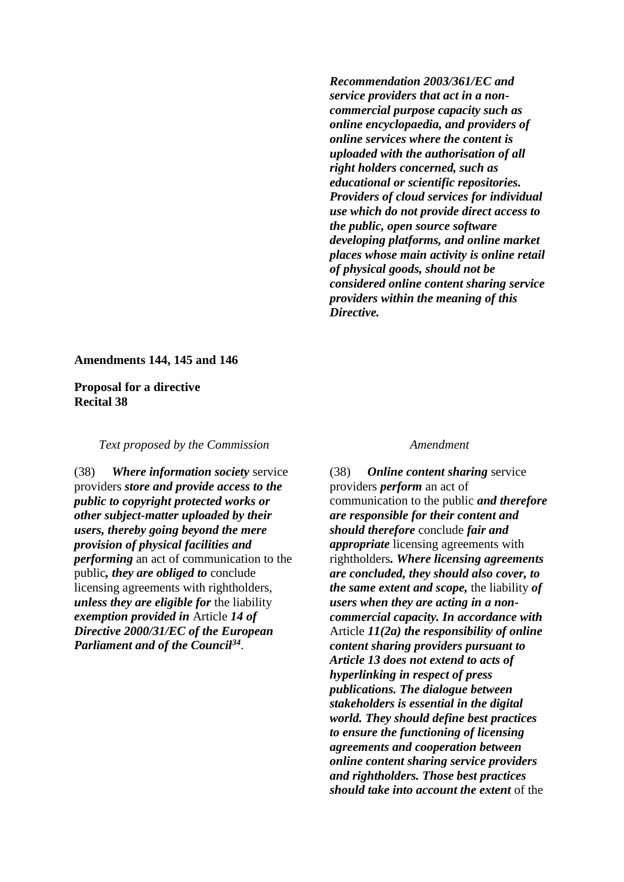*Recommendation 2003/361/EC and service providers that act in a noncommercial purpose capacity such as online encyclopaedia, and providers of online services where the content is uploaded with the authorisation of all right holders concerned, such as educational or scientific repositories. Providers of cloud services for individual use which do not provide direct access to the public, open source software developing platforms, and online market places whose main activity is online retail of physical goods, should not be considered online content sharing service providers within the meaning of this Directive.*

## **Amendments 144, 145 and 146**

**Proposal for a directive Recital 38**

*Text proposed by the Commission Amendment*

(38) *Where information society* service providers *store and provide access to the public to copyright protected works or other subject-matter uploaded by their users, thereby going beyond the mere provision of physical facilities and performing* an act of communication to the public*, they are obliged to* conclude licensing agreements with rightholders, *unless they are eligible for* the liability *exemption provided in* Article *14 of Directive 2000/31/EC of the European Parliament and of the Council<sup>34</sup>* .

(38) *Online content sharing* service providers *perform* an act of communication to the public *and therefore are responsible for their content and should therefore* conclude *fair and appropriate* licensing agreements with rightholders*. Where licensing agreements are concluded, they should also cover, to the same extent and scope,* the liability *of users when they are acting in a noncommercial capacity. In accordance with* Article *11(2a) the responsibility of online content sharing providers pursuant to Article 13 does not extend to acts of hyperlinking in respect of press publications. The dialogue between stakeholders is essential in the digital world. They should define best practices to ensure the functioning of licensing agreements and cooperation between online content sharing service providers and rightholders. Those best practices should take into account the extent* of the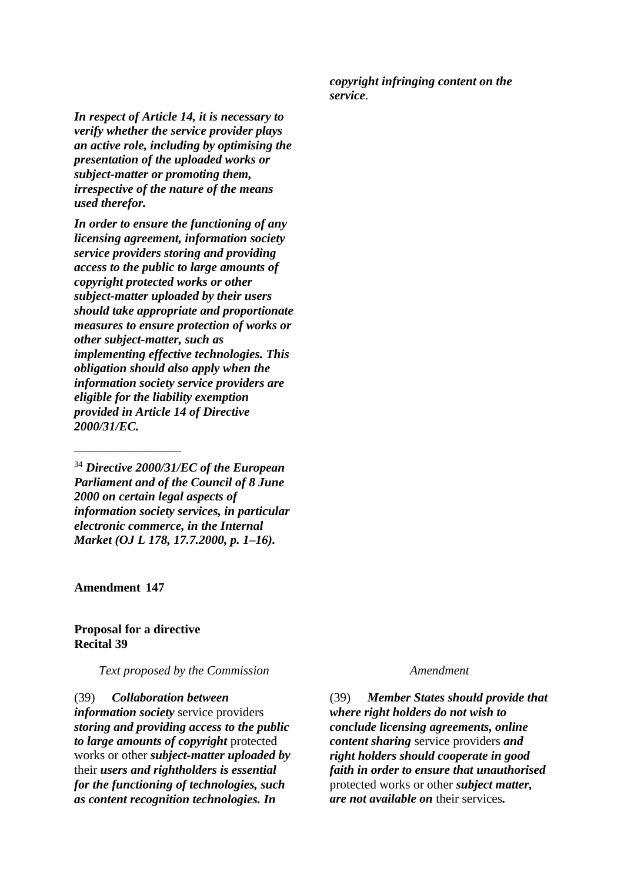*copyright infringing content on the service*.

*In respect of Article 14, it is necessary to verify whether the service provider plays an active role, including by optimising the presentation of the uploaded works or subject-matter or promoting them, irrespective of the nature of the means used therefor.*

*In order to ensure the functioning of any licensing agreement, information society service providers storing and providing access to the public to large amounts of copyright protected works or other subject-matter uploaded by their users should take appropriate and proportionate measures to ensure protection of works or other subject-matter, such as implementing effective technologies. This obligation should also apply when the information society service providers are eligible for the liability exemption provided in Article 14 of Directive 2000/31/EC.*

<sup>34</sup> *Directive 2000/31/EC of the European Parliament and of the Council of 8 June 2000 on certain legal aspects of information society services, in particular electronic commerce, in the Internal Market (OJ L 178, 17.7.2000, p. 1–16).*

**Amendment 147**

\_\_\_\_\_\_\_\_\_\_\_\_\_\_\_\_\_

## **Proposal for a directive Recital 39**

*Text proposed by the Commission Amendment*

(39) *Collaboration between information society* service providers *storing and providing access to the public to large amounts of copyright* protected works or other *subject-matter uploaded by* their *users and rightholders is essential for the functioning of technologies, such as content recognition technologies. In* 

(39) *Member States should provide that where right holders do not wish to conclude licensing agreements, online content sharing* service providers *and right holders should cooperate in good faith in order to ensure that unauthorised* protected works or other *subject matter, are not available on* their services*.*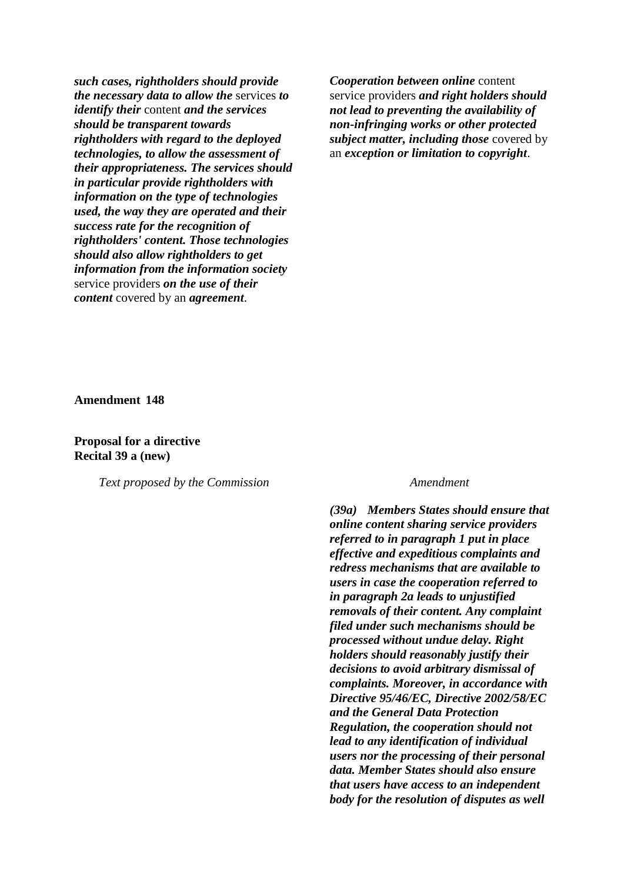*such cases, rightholders should provide the necessary data to allow the* services *to identify their* content *and the services should be transparent towards rightholders with regard to the deployed technologies, to allow the assessment of their appropriateness. The services should in particular provide rightholders with information on the type of technologies used, the way they are operated and their success rate for the recognition of rightholders' content. Those technologies should also allow rightholders to get information from the information society* service providers *on the use of their content* covered by an *agreement*.

*Cooperation between online* content service providers *and right holders should not lead to preventing the availability of non-infringing works or other protected subject matter, including those* covered by an *exception or limitation to copyright*.

**Amendment 148**

**Proposal for a directive Recital 39 a (new)**

*Text proposed by the Commission Amendment*

*(39a) Members States should ensure that online content sharing service providers referred to in paragraph 1 put in place effective and expeditious complaints and redress mechanisms that are available to users in case the cooperation referred to in paragraph 2a leads to unjustified removals of their content. Any complaint filed under such mechanisms should be processed without undue delay. Right holders should reasonably justify their decisions to avoid arbitrary dismissal of complaints. Moreover, in accordance with Directive 95/46/EC, Directive 2002/58/EC and the General Data Protection Regulation, the cooperation should not lead to any identification of individual users nor the processing of their personal data. Member States should also ensure that users have access to an independent body for the resolution of disputes as well*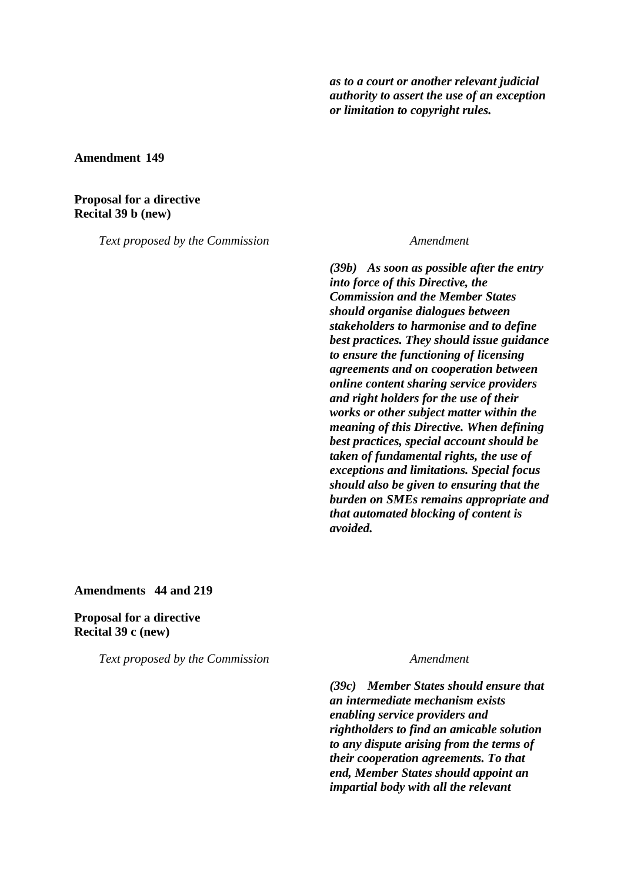*as to a court or another relevant judicial authority to assert the use of an exception or limitation to copyright rules.*

**Amendment 149**

## **Proposal for a directive Recital 39 b (new)**

*Text proposed by the Commission Amendment*

*(39b) As soon as possible after the entry into force of this Directive, the Commission and the Member States should organise dialogues between stakeholders to harmonise and to define best practices. They should issue guidance to ensure the functioning of licensing agreements and on cooperation between online content sharing service providers and right holders for the use of their works or other subject matter within the meaning of this Directive. When defining best practices, special account should be taken of fundamental rights, the use of exceptions and limitations. Special focus should also be given to ensuring that the burden on SMEs remains appropriate and that automated blocking of content is avoided.*

## **Amendments 44 and 219**

**Proposal for a directive Recital 39 c (new)**

*Text proposed by the Commission Amendment*

*(39c) Member States should ensure that an intermediate mechanism exists enabling service providers and rightholders to find an amicable solution to any dispute arising from the terms of their cooperation agreements. To that end, Member States should appoint an impartial body with all the relevant*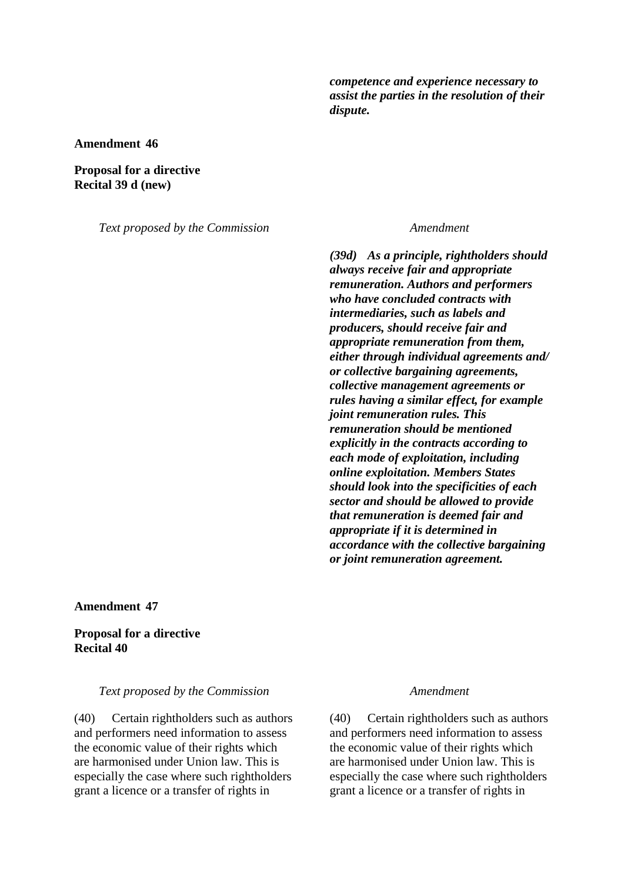*competence and experience necessary to assist the parties in the resolution of their dispute.*

**Amendment 46**

**Proposal for a directive Recital 39 d (new)**

*Text proposed by the Commission Amendment*

*(39d) As a principle, rightholders should always receive fair and appropriate remuneration. Authors and performers who have concluded contracts with intermediaries, such as labels and producers, should receive fair and appropriate remuneration from them, either through individual agreements and/ or collective bargaining agreements, collective management agreements or rules having a similar effect, for example joint remuneration rules. This remuneration should be mentioned explicitly in the contracts according to each mode of exploitation, including online exploitation. Members States should look into the specificities of each sector and should be allowed to provide that remuneration is deemed fair and appropriate if it is determined in accordance with the collective bargaining or joint remuneration agreement.*

**Amendment 47**

## **Proposal for a directive Recital 40**

## *Text proposed by the Commission Amendment*

(40) Certain rightholders such as authors and performers need information to assess the economic value of their rights which are harmonised under Union law. This is especially the case where such rightholders grant a licence or a transfer of rights in

(40) Certain rightholders such as authors and performers need information to assess the economic value of their rights which are harmonised under Union law. This is especially the case where such rightholders grant a licence or a transfer of rights in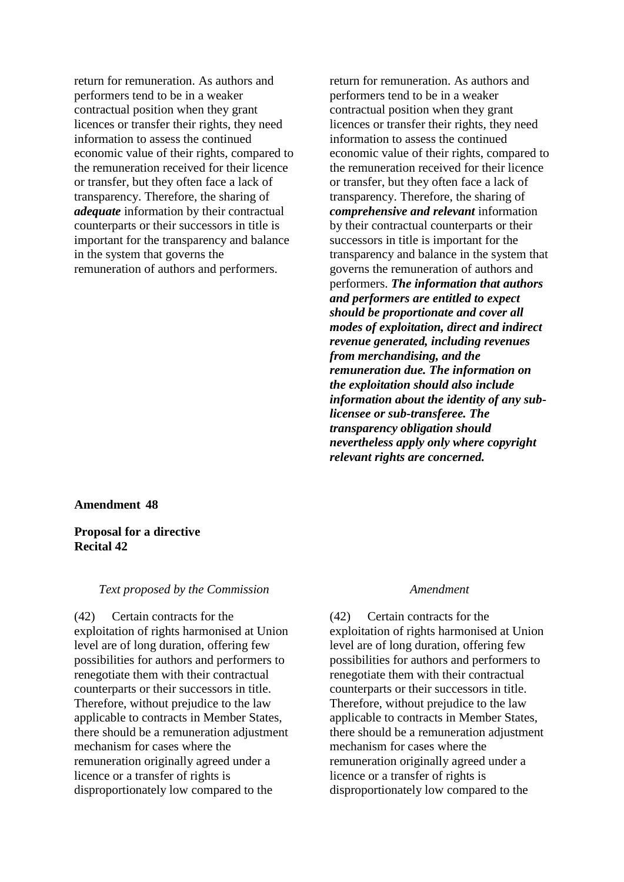return for remuneration. As authors and performers tend to be in a weaker contractual position when they grant licences or transfer their rights, they need information to assess the continued economic value of their rights, compared to the remuneration received for their licence or transfer, but they often face a lack of transparency. Therefore, the sharing of *adequate* information by their contractual counterparts or their successors in title is important for the transparency and balance in the system that governs the remuneration of authors and performers.

return for remuneration. As authors and performers tend to be in a weaker contractual position when they grant licences or transfer their rights, they need information to assess the continued economic value of their rights, compared to the remuneration received for their licence or transfer, but they often face a lack of transparency. Therefore, the sharing of *comprehensive and relevant* information by their contractual counterparts or their successors in title is important for the transparency and balance in the system that governs the remuneration of authors and performers. *The information that authors and performers are entitled to expect should be proportionate and cover all modes of exploitation, direct and indirect revenue generated, including revenues from merchandising, and the remuneration due. The information on the exploitation should also include information about the identity of any sublicensee or sub-transferee. The transparency obligation should nevertheless apply only where copyright relevant rights are concerned.*

## **Amendment 48**

## **Proposal for a directive Recital 42**

### *Text proposed by the Commission Amendment*

(42) Certain contracts for the exploitation of rights harmonised at Union level are of long duration, offering few possibilities for authors and performers to renegotiate them with their contractual counterparts or their successors in title. Therefore, without prejudice to the law applicable to contracts in Member States, there should be a remuneration adjustment mechanism for cases where the remuneration originally agreed under a licence or a transfer of rights is disproportionately low compared to the

(42) Certain contracts for the exploitation of rights harmonised at Union level are of long duration, offering few possibilities for authors and performers to renegotiate them with their contractual counterparts or their successors in title. Therefore, without prejudice to the law applicable to contracts in Member States, there should be a remuneration adjustment mechanism for cases where the remuneration originally agreed under a licence or a transfer of rights is disproportionately low compared to the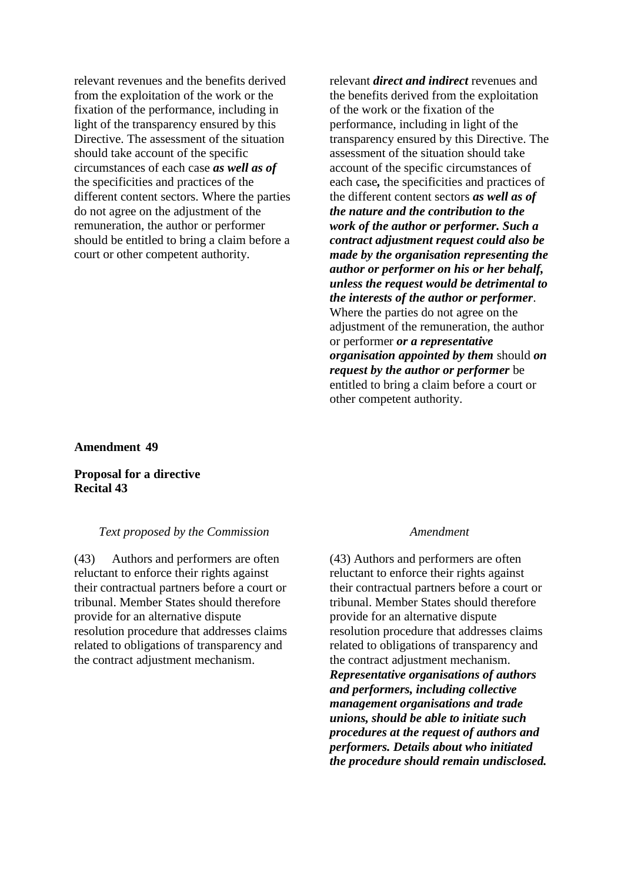relevant revenues and the benefits derived from the exploitation of the work or the fixation of the performance, including in light of the transparency ensured by this Directive. The assessment of the situation should take account of the specific circumstances of each case *as well as of* the specificities and practices of the different content sectors. Where the parties do not agree on the adjustment of the remuneration, the author or performer should be entitled to bring a claim before a court or other competent authority.

relevant *direct and indirect* revenues and the benefits derived from the exploitation of the work or the fixation of the performance, including in light of the transparency ensured by this Directive. The assessment of the situation should take account of the specific circumstances of each case*,* the specificities and practices of the different content sectors *as well as of the nature and the contribution to the work of the author or performer. Such a contract adjustment request could also be made by the organisation representing the author or performer on his or her behalf, unless the request would be detrimental to the interests of the author or performer*. Where the parties do not agree on the adjustment of the remuneration, the author or performer *or a representative organisation appointed by them* should *on request by the author or performer* be entitled to bring a claim before a court or other competent authority.

**Amendment 49**

## **Proposal for a directive Recital 43**

## *Text proposed by the Commission Amendment*

(43) Authors and performers are often reluctant to enforce their rights against their contractual partners before a court or tribunal. Member States should therefore provide for an alternative dispute resolution procedure that addresses claims related to obligations of transparency and the contract adjustment mechanism.

(43) Authors and performers are often reluctant to enforce their rights against their contractual partners before a court or tribunal. Member States should therefore provide for an alternative dispute resolution procedure that addresses claims related to obligations of transparency and the contract adjustment mechanism. *Representative organisations of authors and performers, including collective management organisations and trade unions, should be able to initiate such procedures at the request of authors and performers. Details about who initiated the procedure should remain undisclosed.*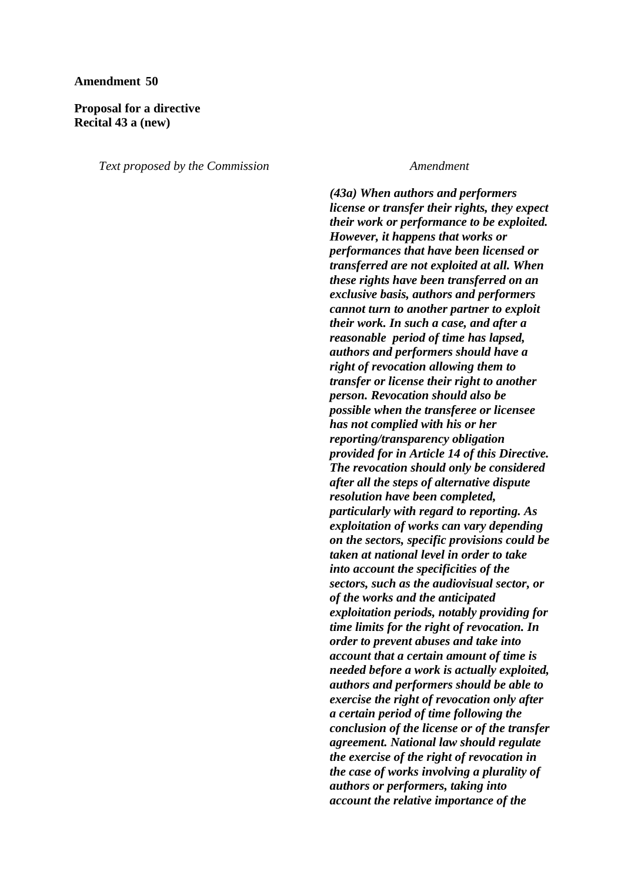### **Amendment 50**

## **Proposal for a directive Recital 43 a (new)**

*Text proposed by the Commission Amendment*

*(43a) When authors and performers license or transfer their rights, they expect their work or performance to be exploited. However, it happens that works or performances that have been licensed or transferred are not exploited at all. When these rights have been transferred on an exclusive basis, authors and performers cannot turn to another partner to exploit their work. In such a case, and after a reasonable period of time has lapsed, authors and performers should have a right of revocation allowing them to transfer or license their right to another person. Revocation should also be possible when the transferee or licensee has not complied with his or her reporting/transparency obligation provided for in Article 14 of this Directive. The revocation should only be considered after all the steps of alternative dispute resolution have been completed, particularly with regard to reporting. As exploitation of works can vary depending on the sectors, specific provisions could be taken at national level in order to take into account the specificities of the sectors, such as the audiovisual sector, or of the works and the anticipated exploitation periods, notably providing for time limits for the right of revocation. In order to prevent abuses and take into account that a certain amount of time is needed before a work is actually exploited, authors and performers should be able to exercise the right of revocation only after a certain period of time following the conclusion of the license or of the transfer agreement. National law should regulate the exercise of the right of revocation in the case of works involving a plurality of authors or performers, taking into account the relative importance of the*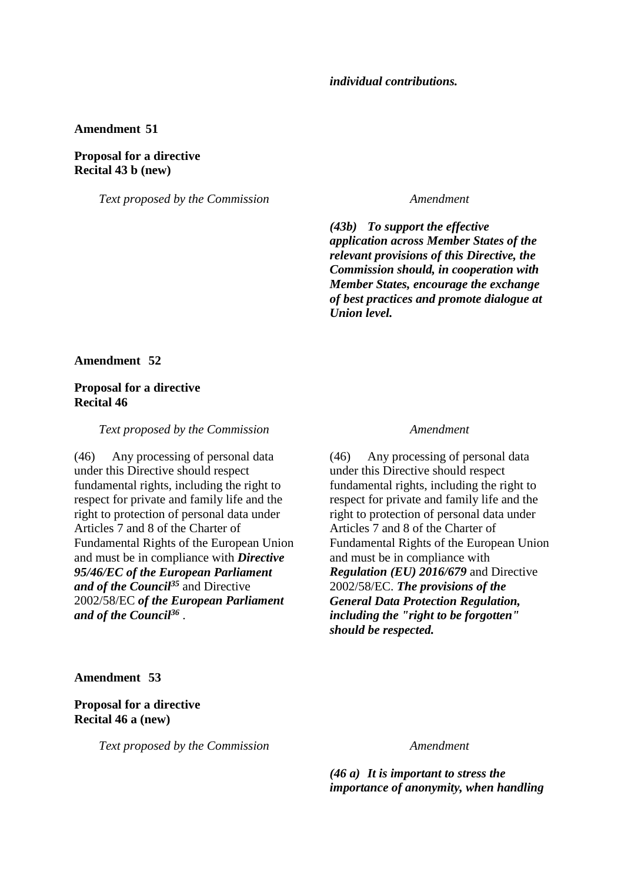### **Amendment 51**

## **Proposal for a directive Recital 43 b (new)**

*Text proposed by the Commission Amendment*

*(43b) To support the effective application across Member States of the relevant provisions of this Directive, the Commission should, in cooperation with Member States, encourage the exchange of best practices and promote dialogue at Union level.*

## **Amendment 52**

## **Proposal for a directive Recital 46**

### *Text proposed by the Commission Amendment*

(46) Any processing of personal data under this Directive should respect fundamental rights, including the right to respect for private and family life and the right to protection of personal data under Articles 7 and 8 of the Charter of Fundamental Rights of the European Union and must be in compliance with *Directive 95/46/EC of the European Parliament and of the Council<sup>35</sup>* and Directive 2002/58/EC *of the European Parliament and of the Council<sup>36</sup>* .

(46) Any processing of personal data under this Directive should respect fundamental rights, including the right to respect for private and family life and the right to protection of personal data under Articles 7 and 8 of the Charter of Fundamental Rights of the European Union and must be in compliance with *Regulation (EU) 2016/679* and Directive 2002/58/EC. *The provisions of the General Data Protection Regulation, including the "right to be forgotten" should be respected.*

### **Amendment 53**

## **Proposal for a directive Recital 46 a (new)**

*Text proposed by the Commission Amendment*

*(46 a) It is important to stress the importance of anonymity, when handling*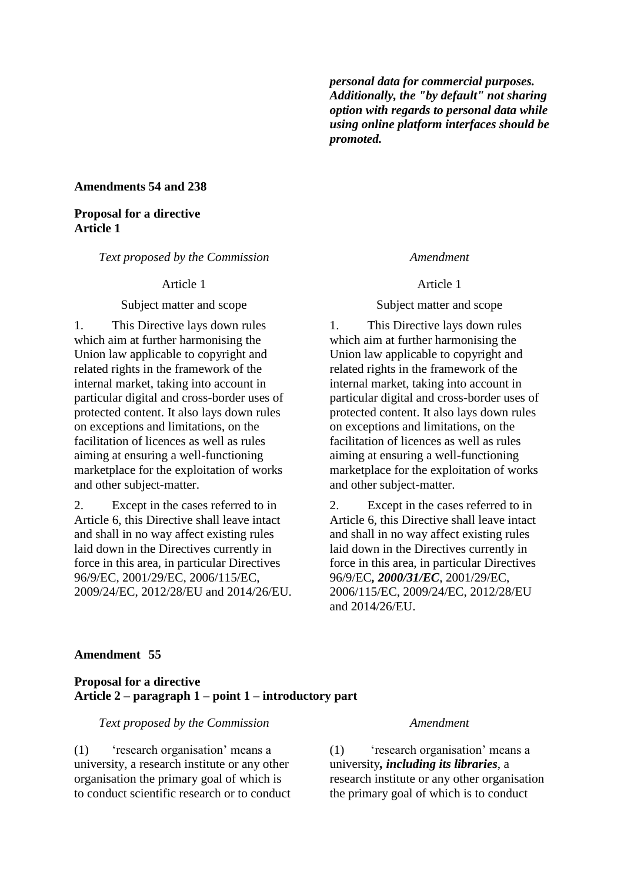*personal data for commercial purposes. Additionally, the "by default" not sharing option with regards to personal data while using online platform interfaces should be promoted.*

### **Amendments 54 and 238**

## **Proposal for a directive Article 1**

*Text proposed by the Commission Amendment*

### Subject matter and scope Subject matter and scope

1. This Directive lays down rules which aim at further harmonising the Union law applicable to copyright and related rights in the framework of the internal market, taking into account in particular digital and cross-border uses of protected content. It also lays down rules on exceptions and limitations, on the facilitation of licences as well as rules aiming at ensuring a well-functioning marketplace for the exploitation of works and other subject-matter.

2. Except in the cases referred to in Article 6, this Directive shall leave intact and shall in no way affect existing rules laid down in the Directives currently in force in this area, in particular Directives 96/9/EC, 2001/29/EC, 2006/115/EC, 2009/24/EC, 2012/28/EU and 2014/26/EU.

Article 1 Article 1

1. This Directive lays down rules which aim at further harmonising the Union law applicable to copyright and related rights in the framework of the internal market, taking into account in particular digital and cross-border uses of protected content. It also lays down rules on exceptions and limitations, on the facilitation of licences as well as rules aiming at ensuring a well-functioning marketplace for the exploitation of works and other subject-matter.

2. Except in the cases referred to in Article 6, this Directive shall leave intact and shall in no way affect existing rules laid down in the Directives currently in force in this area, in particular Directives 96/9/EC*, 2000/31/EC*, 2001/29/EC, 2006/115/EC, 2009/24/EC, 2012/28/EU and 2014/26/EU.

### **Amendment 55**

## **Proposal for a directive Article 2 – paragraph 1 – point 1 – introductory part**

*Text proposed by the Commission Amendment*

(1) 'research organisation' means a university, a research institute or any other organisation the primary goal of which is to conduct scientific research or to conduct

(1) 'research organisation' means a university*, including its libraries*, a research institute or any other organisation the primary goal of which is to conduct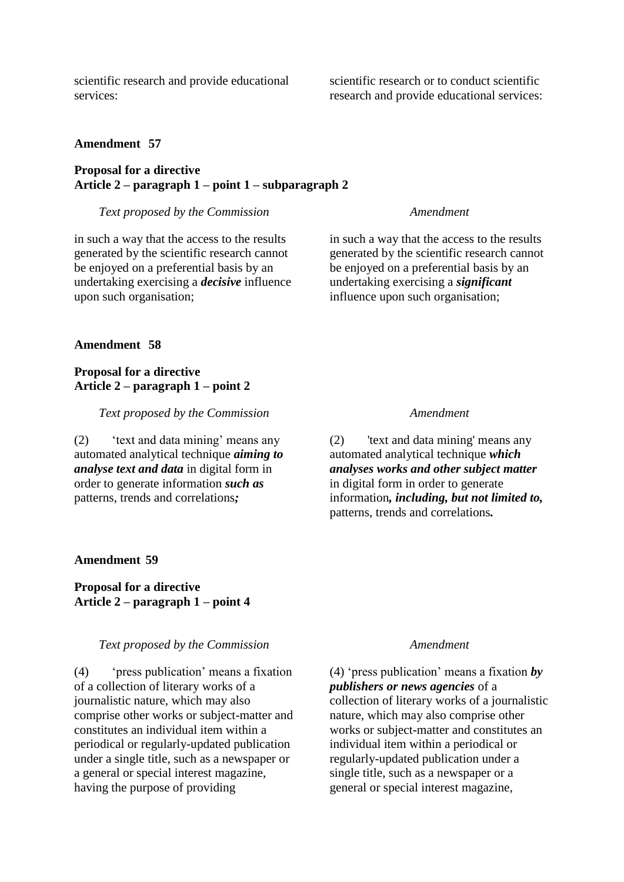scientific research and provide educational services:

## **Amendment 57**

## **Proposal for a directive Article 2 – paragraph 1 – point 1 – subparagraph 2**

### *Text proposed by the Commission Amendment*

in such a way that the access to the results generated by the scientific research cannot be enjoyed on a preferential basis by an undertaking exercising a *decisive* influence upon such organisation;

in such a way that the access to the results generated by the scientific research cannot be enjoyed on a preferential basis by an undertaking exercising a *significant* influence upon such organisation;

### **Amendment 58**

## **Proposal for a directive Article 2 – paragraph 1 – point 2**

*Text proposed by the Commission Amendment*

(2) 'text and data mining' means any automated analytical technique *aiming to analyse text and data* in digital form in order to generate information *such as* patterns, trends and correlations*;*

(2) 'text and data mining' means any automated analytical technique *which analyses works and other subject matter* in digital form in order to generate information*, including, but not limited to,* patterns, trends and correlations*.*

## **Amendment 59**

**Proposal for a directive Article 2 – paragraph 1 – point 4**

## *Text proposed by the Commission Amendment*

(4) 'press publication' means a fixation of a collection of literary works of a journalistic nature, which may also comprise other works or subject-matter and constitutes an individual item within a periodical or regularly-updated publication under a single title, such as a newspaper or a general or special interest magazine, having the purpose of providing

(4) 'press publication' means a fixation *by publishers or news agencies* of a collection of literary works of a journalistic nature, which may also comprise other works or subject-matter and constitutes an individual item within a periodical or regularly-updated publication under a single title, such as a newspaper or a general or special interest magazine,

scientific research or to conduct scientific research and provide educational services: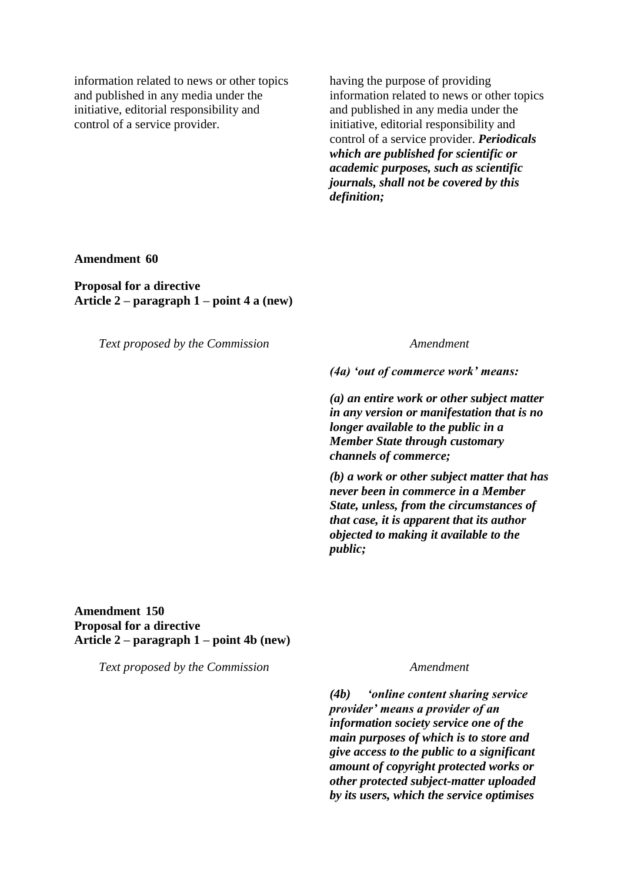information related to news or other topics and published in any media under the initiative, editorial responsibility and control of a service provider.

having the purpose of providing information related to news or other topics and published in any media under the initiative, editorial responsibility and control of a service provider. *Periodicals which are published for scientific or academic purposes, such as scientific journals, shall not be covered by this definition;*

**Amendment 60**

**Proposal for a directive Article 2 – paragraph 1 – point 4 a (new)**

*Text proposed by the Commission Amendment*

*(4a) 'out of commerce work' means:*

*(a) an entire work or other subject matter in any version or manifestation that is no longer available to the public in a Member State through customary channels of commerce;*

*(b) a work or other subject matter that has never been in commerce in a Member State, unless, from the circumstances of that case, it is apparent that its author objected to making it available to the public;*

## **Amendment 150 Proposal for a directive Article 2 – paragraph 1 – point 4b (new)**

*Text proposed by the Commission Amendment*

*(4b) 'online content sharing service provider' means a provider of an information society service one of the main purposes of which is to store and give access to the public to a significant amount of copyright protected works or other protected subject-matter uploaded by its users, which the service optimises*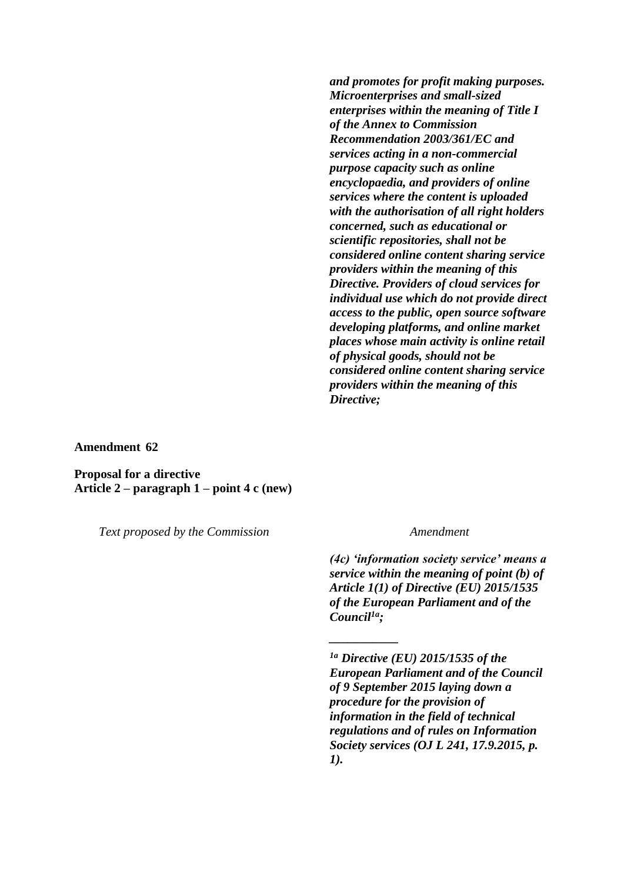*and promotes for profit making purposes. Microenterprises and small-sized enterprises within the meaning of Title I of the Annex to Commission Recommendation 2003/361/EC and services acting in a non-commercial purpose capacity such as online encyclopaedia, and providers of online services where the content is uploaded with the authorisation of all right holders concerned, such as educational or scientific repositories, shall not be considered online content sharing service providers within the meaning of this Directive. Providers of cloud services for individual use which do not provide direct access to the public, open source software developing platforms, and online market places whose main activity is online retail of physical goods, should not be considered online content sharing service providers within the meaning of this Directive;*

**Amendment 62**

**Proposal for a directive Article 2 – paragraph 1 – point 4 c (new)**

*Text proposed by the Commission Amendment*

*(4c) 'information society service' means a service within the meaning of point (b) of Article 1(1) of Directive (EU) 2015/1535 of the European Parliament and of the Council1a;*

*\_\_\_\_\_\_\_\_\_\_\_*

*1a Directive (EU) 2015/1535 of the European Parliament and of the Council of 9 September 2015 laying down a procedure for the provision of information in the field of technical regulations and of rules on Information Society services (OJ L 241, 17.9.2015, p. 1).*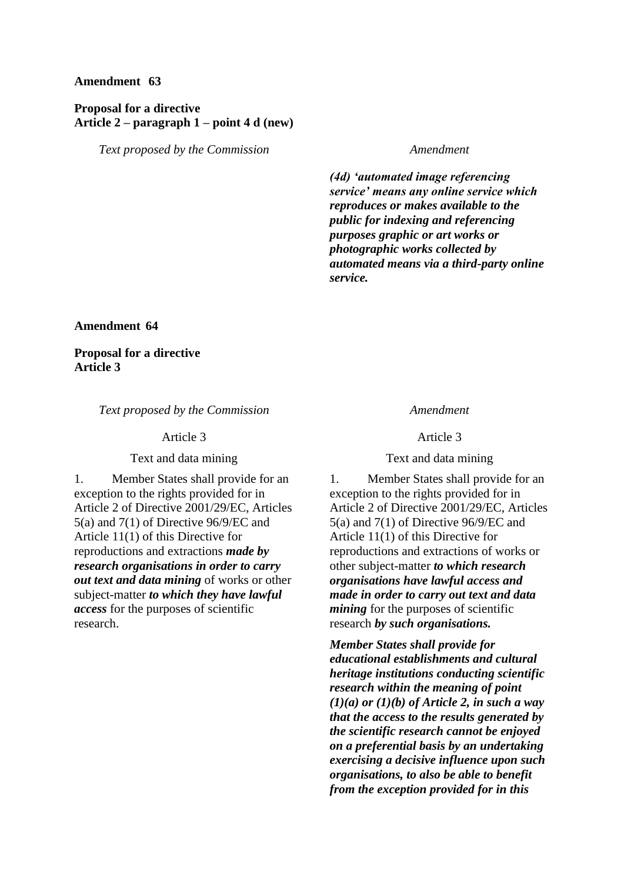## **Amendment 63**

## **Proposal for a directive Article 2 – paragraph 1 – point 4 d (new)**

*Text proposed by the Commission Amendment*

*(4d) 'automated image referencing service' means any online service which reproduces or makes available to the public for indexing and referencing purposes graphic or art works or photographic works collected by automated means via a third-party online service.*

**Amendment 64**

**Proposal for a directive Article 3**

### *Text proposed by the Commission Amendment*

### Text and data mining Text and data mining

1. Member States shall provide for an exception to the rights provided for in Article 2 of Directive 2001/29/EC, Articles 5(a) and 7(1) of Directive 96/9/EC and Article 11(1) of this Directive for reproductions and extractions *made by research organisations in order to carry out text and data mining* of works or other subject-matter *to which they have lawful access* for the purposes of scientific research.

Article 3 Article 3

1. Member States shall provide for an exception to the rights provided for in Article 2 of Directive 2001/29/EC, Articles 5(a) and 7(1) of Directive 96/9/EC and Article 11(1) of this Directive for reproductions and extractions of works or other subject-matter *to which research organisations have lawful access and made in order to carry out text and data mining* for the purposes of scientific research *by such organisations.*

*Member States shall provide for educational establishments and cultural heritage institutions conducting scientific research within the meaning of point (1)(a) or (1)(b) of Article 2, in such a way that the access to the results generated by the scientific research cannot be enjoyed on a preferential basis by an undertaking exercising a decisive influence upon such organisations, to also be able to benefit from the exception provided for in this*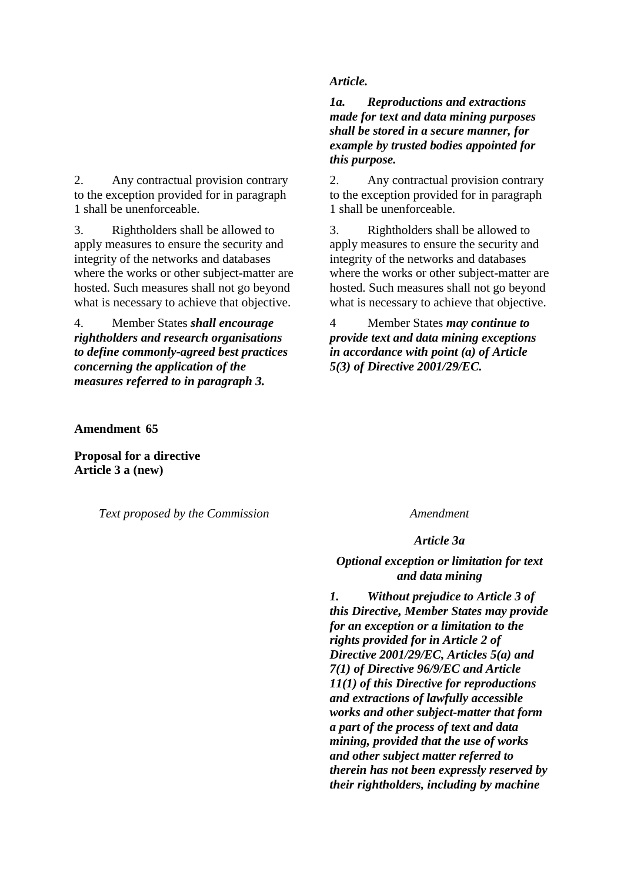2. Any contractual provision contrary to the exception provided for in paragraph 1 shall be unenforceable.

3. Rightholders shall be allowed to apply measures to ensure the security and integrity of the networks and databases where the works or other subject-matter are hosted. Such measures shall not go beyond what is necessary to achieve that objective.

4. Member States *shall encourage rightholders and research organisations to define commonly-agreed best practices concerning the application of the measures referred to in paragraph 3.*

## *Article.*

*1a. Reproductions and extractions made for text and data mining purposes shall be stored in a secure manner, for example by trusted bodies appointed for this purpose.*

2. Any contractual provision contrary to the exception provided for in paragraph 1 shall be unenforceable.

3. Rightholders shall be allowed to apply measures to ensure the security and integrity of the networks and databases where the works or other subject-matter are hosted. Such measures shall not go beyond what is necessary to achieve that objective.

4 Member States *may continue to provide text and data mining exceptions in accordance with point (a) of Article 5(3) of Directive 2001/29/EC.*

## **Amendment 65**

**Proposal for a directive Article 3 a (new)**

*Text proposed by the Commission Amendment*

### *Article 3a*

## *Optional exception or limitation for text and data mining*

*1. Without prejudice to Article 3 of this Directive, Member States may provide for an exception or a limitation to the rights provided for in Article 2 of Directive 2001/29/EC, Articles 5(a) and 7(1) of Directive 96/9/EC and Article 11(1) of this Directive for reproductions and extractions of lawfully accessible works and other subject-matter that form a part of the process of text and data mining, provided that the use of works and other subject matter referred to therein has not been expressly reserved by their rightholders, including by machine*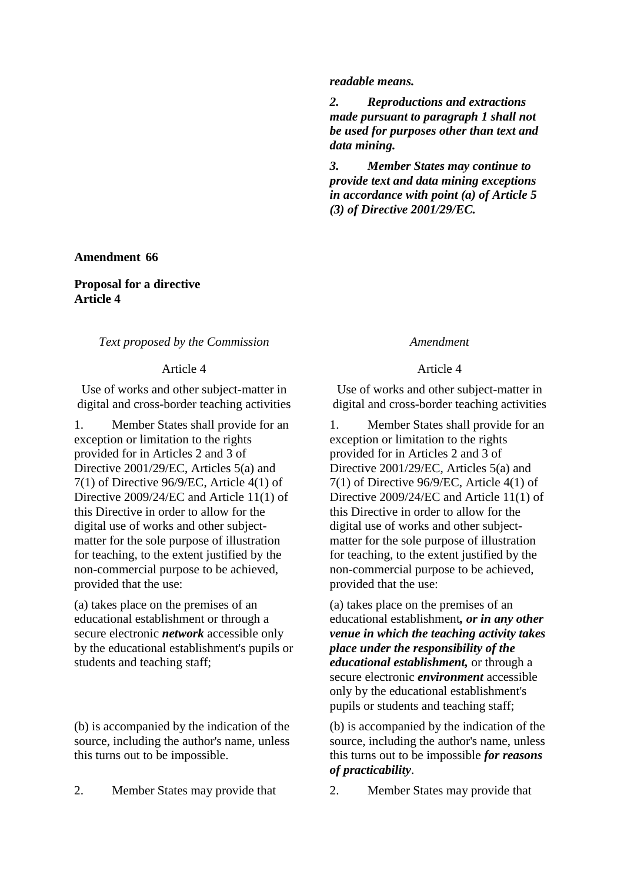### **Amendment 66**

## **Proposal for a directive Article 4**

## *Text proposed by the Commission Amendment*

Use of works and other subject-matter in digital and cross-border teaching activities

1. Member States shall provide for an exception or limitation to the rights provided for in Articles 2 and 3 of Directive 2001/29/EC, Articles 5(a) and 7(1) of Directive 96/9/EC, Article 4(1) of Directive 2009/24/EC and Article 11(1) of this Directive in order to allow for the digital use of works and other subjectmatter for the sole purpose of illustration for teaching, to the extent justified by the non-commercial purpose to be achieved, provided that the use:

(a) takes place on the premises of an educational establishment or through a secure electronic *network* accessible only by the educational establishment's pupils or students and teaching staff;

(b) is accompanied by the indication of the source, including the author's name, unless this turns out to be impossible.

### *readable means.*

*2. Reproductions and extractions made pursuant to paragraph 1 shall not be used for purposes other than text and data mining.*

*3. Member States may continue to provide text and data mining exceptions in accordance with point (a) of Article 5 (3) of Directive 2001/29/EC.*

### Article 4 Article 4

Use of works and other subject-matter in digital and cross-border teaching activities

1. Member States shall provide for an exception or limitation to the rights provided for in Articles 2 and 3 of Directive 2001/29/EC, Articles 5(a) and 7(1) of Directive 96/9/EC, Article 4(1) of Directive 2009/24/EC and Article 11(1) of this Directive in order to allow for the digital use of works and other subjectmatter for the sole purpose of illustration for teaching, to the extent justified by the non-commercial purpose to be achieved, provided that the use:

(a) takes place on the premises of an educational establishment*, or in any other venue in which the teaching activity takes place under the responsibility of the educational establishment,* or through a secure electronic *environment* accessible only by the educational establishment's pupils or students and teaching staff;

(b) is accompanied by the indication of the source, including the author's name, unless this turns out to be impossible *for reasons of practicability*.

2. Member States may provide that 2. Member States may provide that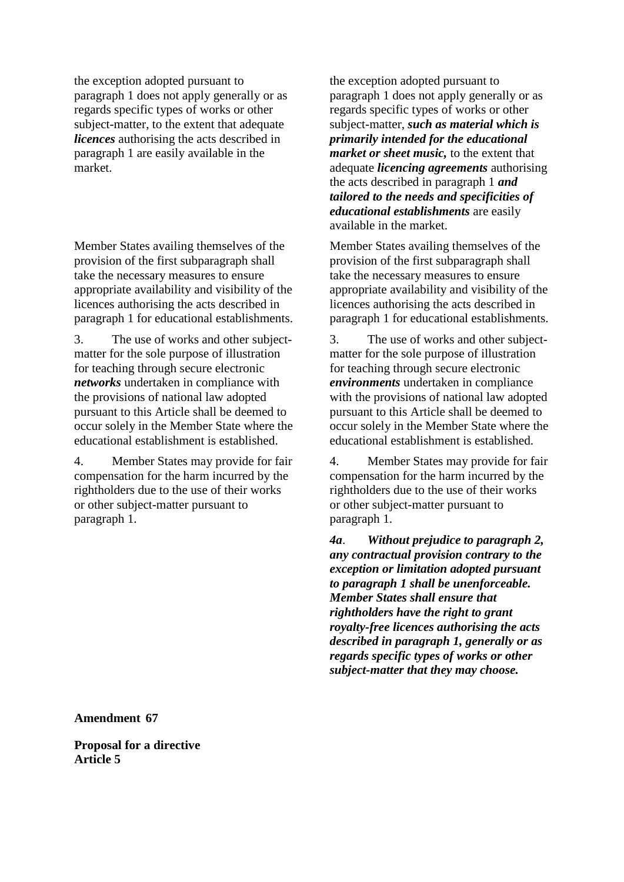the exception adopted pursuant to paragraph 1 does not apply generally or as regards specific types of works or other subject-matter, to the extent that adequate *licences* authorising the acts described in paragraph 1 are easily available in the market.

Member States availing themselves of the provision of the first subparagraph shall take the necessary measures to ensure appropriate availability and visibility of the licences authorising the acts described in paragraph 1 for educational establishments.

3. The use of works and other subjectmatter for the sole purpose of illustration for teaching through secure electronic *networks* undertaken in compliance with the provisions of national law adopted pursuant to this Article shall be deemed to occur solely in the Member State where the educational establishment is established.

4. Member States may provide for fair compensation for the harm incurred by the rightholders due to the use of their works or other subject-matter pursuant to paragraph 1.

the exception adopted pursuant to paragraph 1 does not apply generally or as regards specific types of works or other subject-matter, *such as material which is primarily intended for the educational market or sheet music,* to the extent that adequate *licencing agreements* authorising the acts described in paragraph 1 *and tailored to the needs and specificities of educational establishments* are easily available in the market.

Member States availing themselves of the provision of the first subparagraph shall take the necessary measures to ensure appropriate availability and visibility of the licences authorising the acts described in paragraph 1 for educational establishments.

3. The use of works and other subjectmatter for the sole purpose of illustration for teaching through secure electronic *environments* undertaken in compliance with the provisions of national law adopted pursuant to this Article shall be deemed to occur solely in the Member State where the educational establishment is established.

4. Member States may provide for fair compensation for the harm incurred by the rightholders due to the use of their works or other subject-matter pursuant to paragraph 1.

*4a*. *Without prejudice to paragraph 2, any contractual provision contrary to the exception or limitation adopted pursuant to paragraph 1 shall be unenforceable. Member States shall ensure that rightholders have the right to grant royalty-free licences authorising the acts described in paragraph 1, generally or as regards specific types of works or other subject-matter that they may choose.*

**Amendment 67**

**Proposal for a directive Article 5**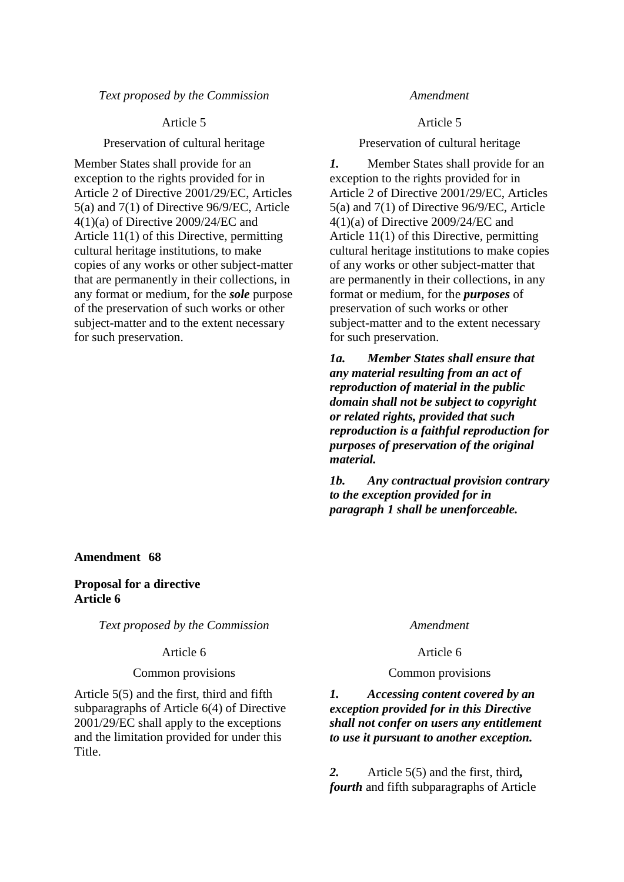## *Text proposed by the Commission Amendment*

Member States shall provide for an exception to the rights provided for in Article 2 of Directive 2001/29/EC, Articles 5(a) and 7(1) of Directive 96/9/EC, Article 4(1)(a) of Directive 2009/24/EC and Article 11(1) of this Directive, permitting cultural heritage institutions, to make copies of any works or other subject-matter that are permanently in their collections, in any format or medium, for the *sole* purpose of the preservation of such works or other subject-matter and to the extent necessary for such preservation.

## Article 5 Article 5

Preservation of cultural heritage Preservation of cultural heritage

*1.* Member States shall provide for an exception to the rights provided for in Article 2 of Directive 2001/29/EC, Articles 5(a) and 7(1) of Directive 96/9/EC, Article 4(1)(a) of Directive 2009/24/EC and Article 11(1) of this Directive, permitting cultural heritage institutions to make copies of any works or other subject-matter that are permanently in their collections, in any format or medium, for the *purposes* of preservation of such works or other subject-matter and to the extent necessary for such preservation.

*1a. Member States shall ensure that any material resulting from an act of reproduction of material in the public domain shall not be subject to copyright or related rights, provided that such reproduction is a faithful reproduction for purposes of preservation of the original material.*

*1b. Any contractual provision contrary to the exception provided for in paragraph 1 shall be unenforceable.*

## **Amendment 68**

## **Proposal for a directive Article 6**

*Text proposed by the Commission Amendment*

### Article 6 Article 6

### Common provisions Common provisions

Article 5(5) and the first, third and fifth subparagraphs of Article 6(4) of Directive 2001/29/EC shall apply to the exceptions and the limitation provided for under this Title.

## *1. Accessing content covered by an exception provided for in this Directive shall not confer on users any entitlement to use it pursuant to another exception.*

*2.* Article 5(5) and the first, third*, fourth* and fifth subparagraphs of Article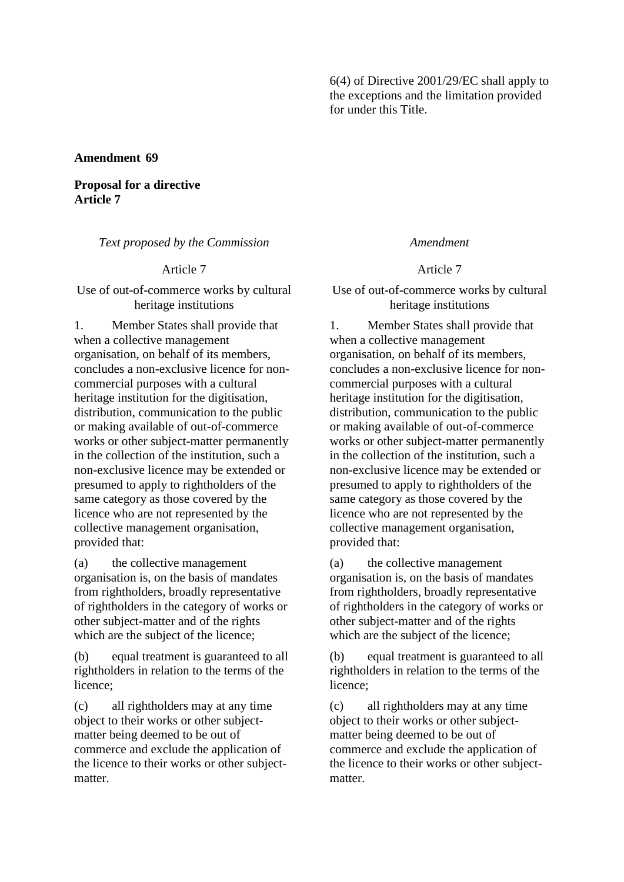6(4) of Directive 2001/29/EC shall apply to the exceptions and the limitation provided for under this Title.

## **Amendment 69**

**Proposal for a directive Article 7**

*Text proposed by the Commission Amendment*

Use of out-of-commerce works by cultural heritage institutions

1. Member States shall provide that when a collective management organisation, on behalf of its members, concludes a non-exclusive licence for noncommercial purposes with a cultural heritage institution for the digitisation, distribution, communication to the public or making available of out-of-commerce works or other subject-matter permanently in the collection of the institution, such a non-exclusive licence may be extended or presumed to apply to rightholders of the same category as those covered by the licence who are not represented by the collective management organisation, provided that:

(a) the collective management organisation is, on the basis of mandates from rightholders, broadly representative of rightholders in the category of works or other subject-matter and of the rights which are the subject of the licence;

(b) equal treatment is guaranteed to all rightholders in relation to the terms of the licence;

(c) all rightholders may at any time object to their works or other subjectmatter being deemed to be out of commerce and exclude the application of the licence to their works or other subjectmatter.

Article 7 Article 7

Use of out-of-commerce works by cultural heritage institutions

1. Member States shall provide that when a collective management organisation, on behalf of its members, concludes a non-exclusive licence for noncommercial purposes with a cultural heritage institution for the digitisation, distribution, communication to the public or making available of out-of-commerce works or other subject-matter permanently in the collection of the institution, such a non-exclusive licence may be extended or presumed to apply to rightholders of the same category as those covered by the licence who are not represented by the collective management organisation, provided that:

(a) the collective management organisation is, on the basis of mandates from rightholders, broadly representative of rightholders in the category of works or other subject-matter and of the rights which are the subject of the licence;

(b) equal treatment is guaranteed to all rightholders in relation to the terms of the licence;

(c) all rightholders may at any time object to their works or other subjectmatter being deemed to be out of commerce and exclude the application of the licence to their works or other subjectmatter.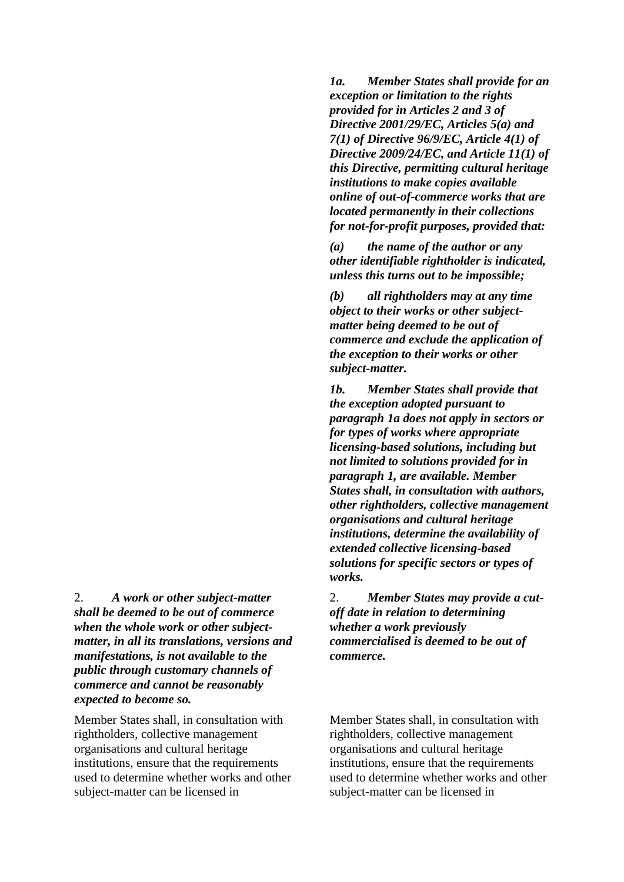2. *A work or other subject-matter shall be deemed to be out of commerce when the whole work or other subjectmatter, in all its translations, versions and manifestations, is not available to the public through customary channels of commerce and cannot be reasonably expected to become so.*

Member States shall, in consultation with rightholders, collective management organisations and cultural heritage institutions, ensure that the requirements used to determine whether works and other subject-matter can be licensed in

*1a. Member States shall provide for an exception or limitation to the rights provided for in Articles 2 and 3 of Directive 2001/29/EC, Articles 5(a) and 7(1) of Directive 96/9/EC, Article 4(1) of Directive 2009/24/EC, and Article 11(1) of this Directive, permitting cultural heritage institutions to make copies available online of out-of-commerce works that are located permanently in their collections for not-for-profit purposes, provided that:*

*(a) the name of the author or any other identifiable rightholder is indicated, unless this turns out to be impossible;*

*(b) all rightholders may at any time object to their works or other subjectmatter being deemed to be out of commerce and exclude the application of the exception to their works or other subject-matter.*

*1b. Member States shall provide that the exception adopted pursuant to paragraph 1a does not apply in sectors or for types of works where appropriate licensing-based solutions, including but not limited to solutions provided for in paragraph 1, are available. Member States shall, in consultation with authors, other rightholders, collective management organisations and cultural heritage institutions, determine the availability of extended collective licensing-based solutions for specific sectors or types of works.*

2. *Member States may provide a cutoff date in relation to determining whether a work previously commercialised is deemed to be out of commerce.*

Member States shall, in consultation with rightholders, collective management organisations and cultural heritage institutions, ensure that the requirements used to determine whether works and other subject-matter can be licensed in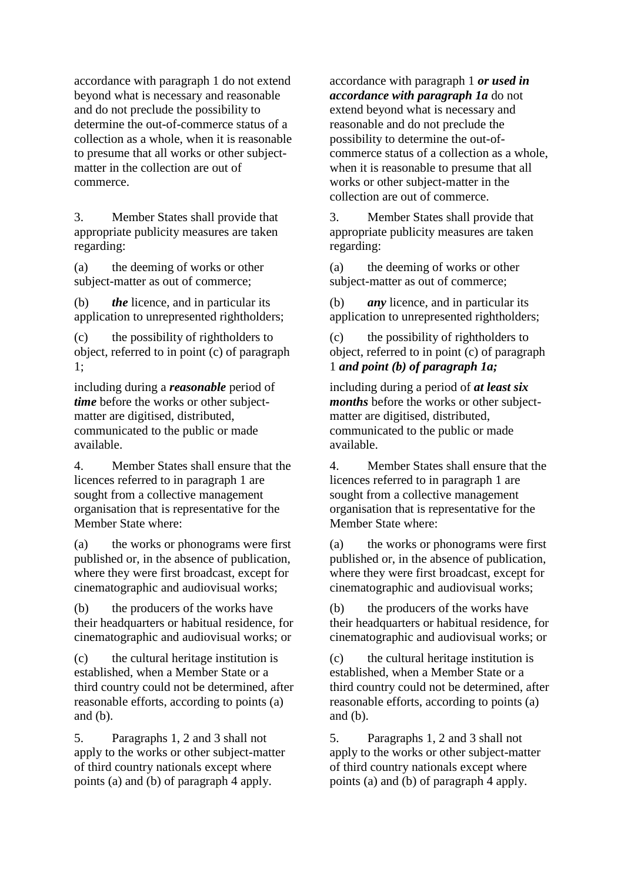accordance with paragraph 1 do not extend beyond what is necessary and reasonable and do not preclude the possibility to determine the out-of-commerce status of a collection as a whole, when it is reasonable to presume that all works or other subjectmatter in the collection are out of commerce.

3. Member States shall provide that appropriate publicity measures are taken regarding:

(a) the deeming of works or other subject-matter as out of commerce;

(b) *the* licence, and in particular its application to unrepresented rightholders;

(c) the possibility of rightholders to object, referred to in point (c) of paragraph 1;

including during a *reasonable* period of *time* before the works or other subjectmatter are digitised, distributed, communicated to the public or made available.

4. Member States shall ensure that the licences referred to in paragraph 1 are sought from a collective management organisation that is representative for the Member State where:

(a) the works or phonograms were first published or, in the absence of publication, where they were first broadcast, except for cinematographic and audiovisual works;

(b) the producers of the works have their headquarters or habitual residence, for cinematographic and audiovisual works; or

(c) the cultural heritage institution is established, when a Member State or a third country could not be determined, after reasonable efforts, according to points (a) and (b).

5. Paragraphs 1, 2 and 3 shall not apply to the works or other subject-matter of third country nationals except where points (a) and (b) of paragraph 4 apply.

accordance with paragraph 1 *or used in accordance with paragraph 1a* do not extend beyond what is necessary and reasonable and do not preclude the possibility to determine the out-ofcommerce status of a collection as a whole, when it is reasonable to presume that all works or other subject-matter in the collection are out of commerce.

3. Member States shall provide that appropriate publicity measures are taken regarding:

(a) the deeming of works or other subject-matter as out of commerce;

(b) *any* licence, and in particular its application to unrepresented rightholders;

(c) the possibility of rightholders to object, referred to in point (c) of paragraph 1 *and point (b) of paragraph 1a;*

including during a period of *at least six months* before the works or other subjectmatter are digitised, distributed, communicated to the public or made available.

4. Member States shall ensure that the licences referred to in paragraph 1 are sought from a collective management organisation that is representative for the Member State where:

(a) the works or phonograms were first published or, in the absence of publication, where they were first broadcast, except for cinematographic and audiovisual works;

(b) the producers of the works have their headquarters or habitual residence, for cinematographic and audiovisual works; or

(c) the cultural heritage institution is established, when a Member State or a third country could not be determined, after reasonable efforts, according to points (a) and (b).

5. Paragraphs 1, 2 and 3 shall not apply to the works or other subject-matter of third country nationals except where points (a) and (b) of paragraph 4 apply.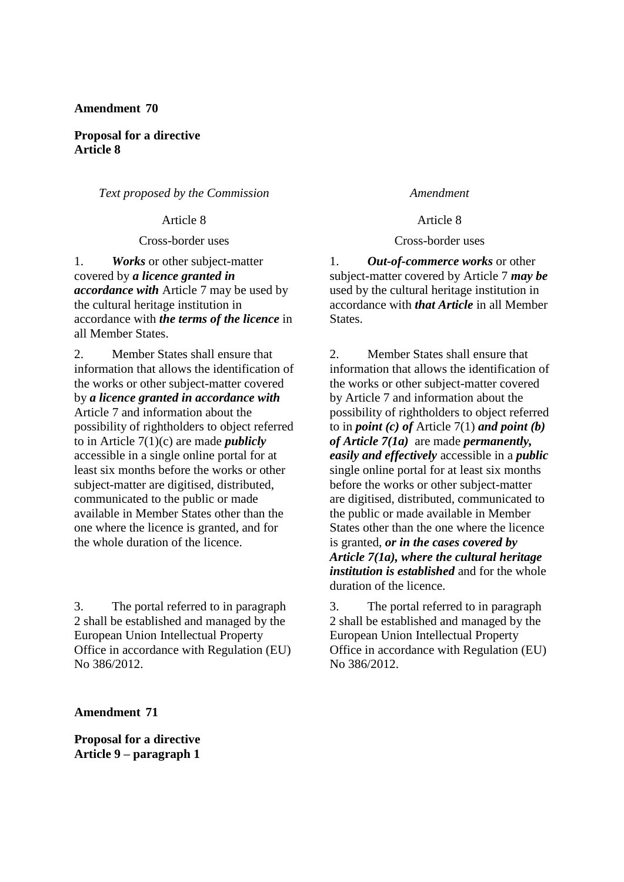## **Amendment 70**

**Proposal for a directive Article 8**

*Text proposed by the Commission Amendment*

1. *Works* or other subject-matter covered by *a licence granted in accordance with* Article 7 may be used by the cultural heritage institution in accordance with *the terms of the licence* in all Member States.

2. Member States shall ensure that information that allows the identification of the works or other subject-matter covered by *a licence granted in accordance with* Article 7 and information about the possibility of rightholders to object referred to in Article 7(1)(c) are made *publicly* accessible in a single online portal for at least six months before the works or other subject-matter are digitised, distributed, communicated to the public or made available in Member States other than the one where the licence is granted, and for the whole duration of the licence.

3. The portal referred to in paragraph 2 shall be established and managed by the European Union Intellectual Property Office in accordance with Regulation (EU) No 386/2012.

**Amendment 71**

**Proposal for a directive Article 9 – paragraph 1**

Article 8 Article 8

Cross-border uses Cross-border uses

1. *Out-of-commerce works* or other subject-matter covered by Article 7 *may be* used by the cultural heritage institution in accordance with *that Article* in all Member States.

2. Member States shall ensure that information that allows the identification of the works or other subject-matter covered by Article 7 and information about the possibility of rightholders to object referred to in *point (c) of* Article 7(1) *and point (b) of Article 7(1a)* are made *permanently, easily and effectively* accessible in a *public*  single online portal for at least six months before the works or other subject-matter are digitised, distributed, communicated to the public or made available in Member States other than the one where the licence is granted, *or in the cases covered by Article 7(1a), where the cultural heritage institution is established* and for the whole duration of the licence.

3. The portal referred to in paragraph 2 shall be established and managed by the European Union Intellectual Property Office in accordance with Regulation (EU) No 386/2012.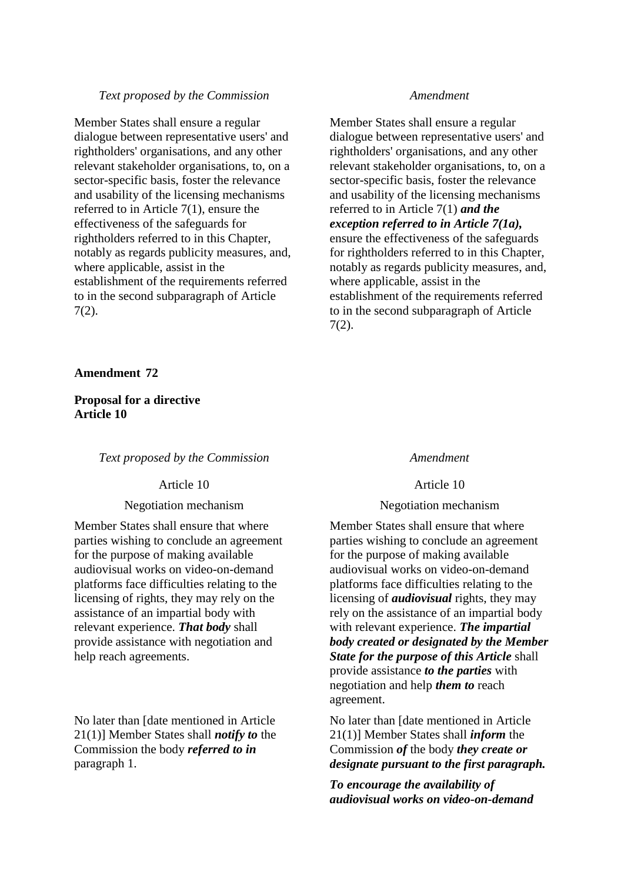## *Text proposed by the Commission Amendment*

Member States shall ensure a regular dialogue between representative users' and rightholders' organisations, and any other relevant stakeholder organisations, to, on a sector-specific basis, foster the relevance and usability of the licensing mechanisms referred to in Article 7(1), ensure the effectiveness of the safeguards for rightholders referred to in this Chapter, notably as regards publicity measures, and, where applicable, assist in the establishment of the requirements referred to in the second subparagraph of Article 7(2).

### **Amendment 72**

**Proposal for a directive Article 10**

*Text proposed by the Commission Amendment*

Article 10 Article 10

Member States shall ensure that where parties wishing to conclude an agreement for the purpose of making available audiovisual works on video-on-demand platforms face difficulties relating to the licensing of rights, they may rely on the assistance of an impartial body with relevant experience. *That body* shall provide assistance with negotiation and help reach agreements.

No later than [date mentioned in Article 21(1)] Member States shall *notify to* the Commission the body *referred to in* paragraph 1.

Member States shall ensure a regular dialogue between representative users' and rightholders' organisations, and any other relevant stakeholder organisations, to, on a sector-specific basis, foster the relevance and usability of the licensing mechanisms referred to in Article 7(1) *and the exception referred to in Article 7(1a),*  ensure the effectiveness of the safeguards for rightholders referred to in this Chapter, notably as regards publicity measures, and, where applicable, assist in the establishment of the requirements referred to in the second subparagraph of Article 7(2).

## Negotiation mechanism Negotiation mechanism

Member States shall ensure that where parties wishing to conclude an agreement for the purpose of making available audiovisual works on video-on-demand platforms face difficulties relating to the licensing of *audiovisual* rights, they may rely on the assistance of an impartial body with relevant experience. *The impartial body created or designated by the Member State for the purpose of this Article* shall provide assistance *to the parties* with negotiation and help *them to* reach agreement.

No later than [date mentioned in Article 21(1)] Member States shall *inform* the Commission *of* the body *they create or designate pursuant to the first paragraph.*

*To encourage the availability of audiovisual works on video-on-demand*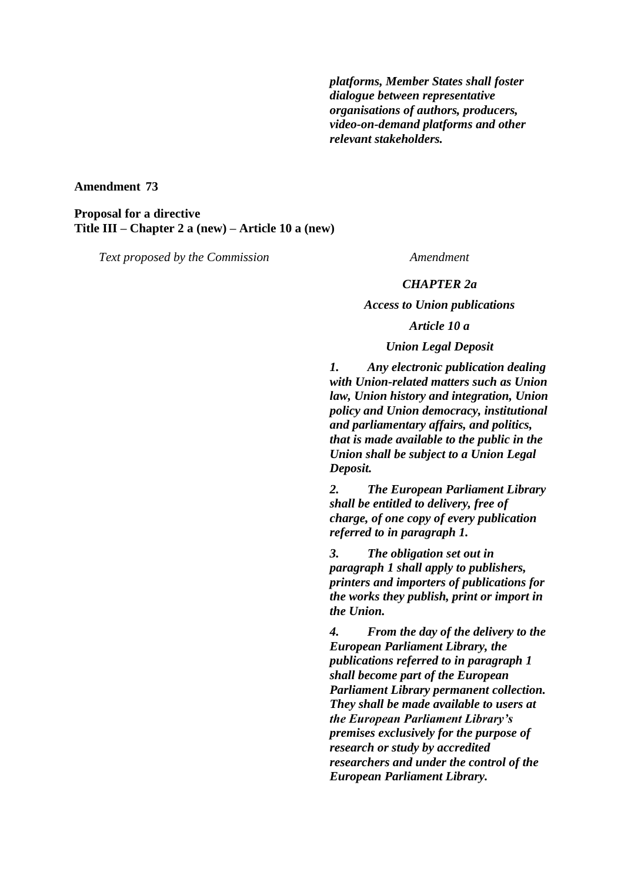*platforms, Member States shall foster dialogue between representative organisations of authors, producers, video-on-demand platforms and other relevant stakeholders.*

**Amendment 73**

**Proposal for a directive Title III – Chapter 2 a (new) – Article 10 a (new)**

*Text proposed by the Commission Amendment*

### *CHAPTER 2a*

*Access to Union publications*

## *Article 10 a*

## *Union Legal Deposit*

*1. Any electronic publication dealing with Union-related matters such as Union law, Union history and integration, Union policy and Union democracy, institutional and parliamentary affairs, and politics, that is made available to the public in the Union shall be subject to a Union Legal Deposit.* 

*2. The European Parliament Library shall be entitled to delivery, free of charge, of one copy of every publication referred to in paragraph 1.*

*3. The obligation set out in paragraph 1 shall apply to publishers, printers and importers of publications for the works they publish, print or import in the Union.* 

*4. From the day of the delivery to the European Parliament Library, the publications referred to in paragraph 1 shall become part of the European Parliament Library permanent collection. They shall be made available to users at the European Parliament Library's premises exclusively for the purpose of research or study by accredited researchers and under the control of the European Parliament Library.*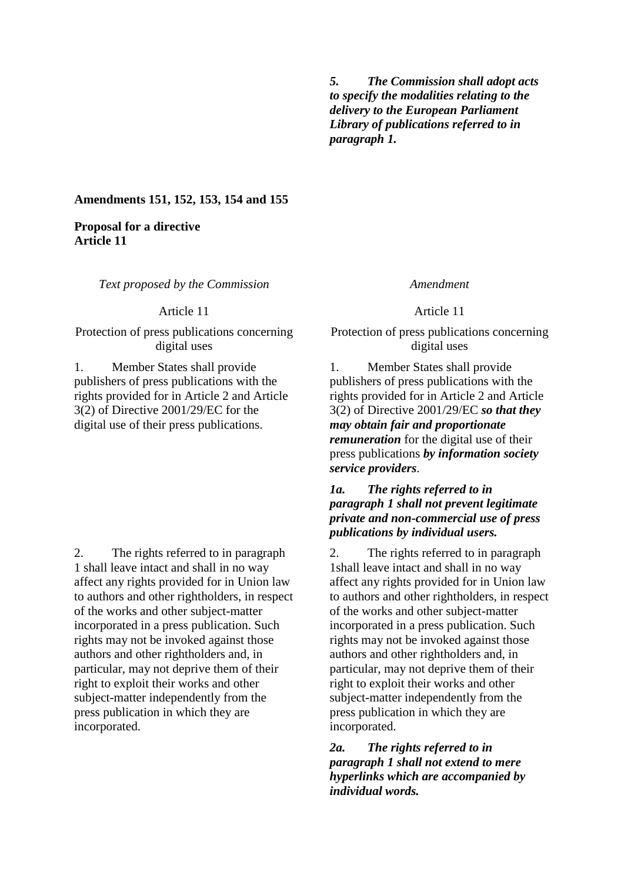*5. The Commission shall adopt acts to specify the modalities relating to the delivery to the European Parliament Library of publications referred to in paragraph 1.* 

**Amendments 151, 152, 153, 154 and 155**

## **Proposal for a directive Article 11**

*Text proposed by the Commission Amendment*

Protection of press publications concerning digital uses

1. Member States shall provide publishers of press publications with the rights provided for in Article 2 and Article 3(2) of Directive 2001/29/EC for the digital use of their press publications.

2. The rights referred to in paragraph 1 shall leave intact and shall in no way affect any rights provided for in Union law to authors and other rightholders, in respect of the works and other subject-matter incorporated in a press publication. Such rights may not be invoked against those authors and other rightholders and, in particular, may not deprive them of their right to exploit their works and other subject-matter independently from the press publication in which they are incorporated.

Article 11 Article 11

Protection of press publications concerning digital uses

1. Member States shall provide publishers of press publications with the rights provided for in Article 2 and Article 3(2) of Directive 2001/29/EC *so that they may obtain fair and proportionate remuneration* for the digital use of their press publications *by information society service providers*.

## *1a. The rights referred to in paragraph 1 shall not prevent legitimate private and non-commercial use of press publications by individual users.*

2. The rights referred to in paragraph 1shall leave intact and shall in no way affect any rights provided for in Union law to authors and other rightholders, in respect of the works and other subject-matter incorporated in a press publication. Such rights may not be invoked against those authors and other rightholders and, in particular, may not deprive them of their right to exploit their works and other subject-matter independently from the press publication in which they are incorporated.

*2a. The rights referred to in paragraph 1 shall not extend to mere hyperlinks which are accompanied by individual words.*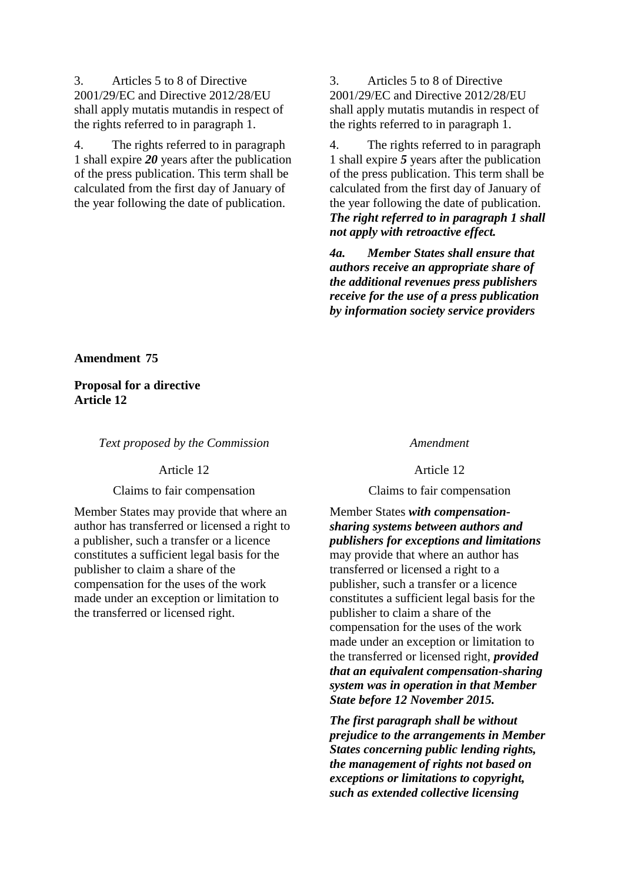3. Articles 5 to 8 of Directive 2001/29/EC and Directive 2012/28/EU shall apply mutatis mutandis in respect of the rights referred to in paragraph 1.

4. The rights referred to in paragraph 1 shall expire *20* years after the publication of the press publication. This term shall be calculated from the first day of January of the year following the date of publication.

3. Articles 5 to 8 of Directive 2001/29/EC and Directive 2012/28/EU shall apply mutatis mutandis in respect of the rights referred to in paragraph 1.

4. The rights referred to in paragraph 1 shall expire *5* years after the publication of the press publication. This term shall be calculated from the first day of January of the year following the date of publication. *The right referred to in paragraph 1 shall not apply with retroactive effect.*

*4a. Member States shall ensure that authors receive an appropriate share of the additional revenues press publishers receive for the use of a press publication by information society service providers*

**Amendment 75**

**Proposal for a directive Article 12**

*Text proposed by the Commission Amendment*

## Article 12 Article 12

## Claims to fair compensation Claims to fair compensation

Member States may provide that where an author has transferred or licensed a right to a publisher, such a transfer or a licence constitutes a sufficient legal basis for the publisher to claim a share of the compensation for the uses of the work made under an exception or limitation to the transferred or licensed right.

Member States *with compensationsharing systems between authors and publishers for exceptions and limitations* may provide that where an author has transferred or licensed a right to a publisher, such a transfer or a licence constitutes a sufficient legal basis for the publisher to claim a share of the compensation for the uses of the work made under an exception or limitation to the transferred or licensed right, *provided that an equivalent compensation-sharing system was in operation in that Member State before 12 November 2015.*

*The first paragraph shall be without prejudice to the arrangements in Member States concerning public lending rights, the management of rights not based on exceptions or limitations to copyright, such as extended collective licensing*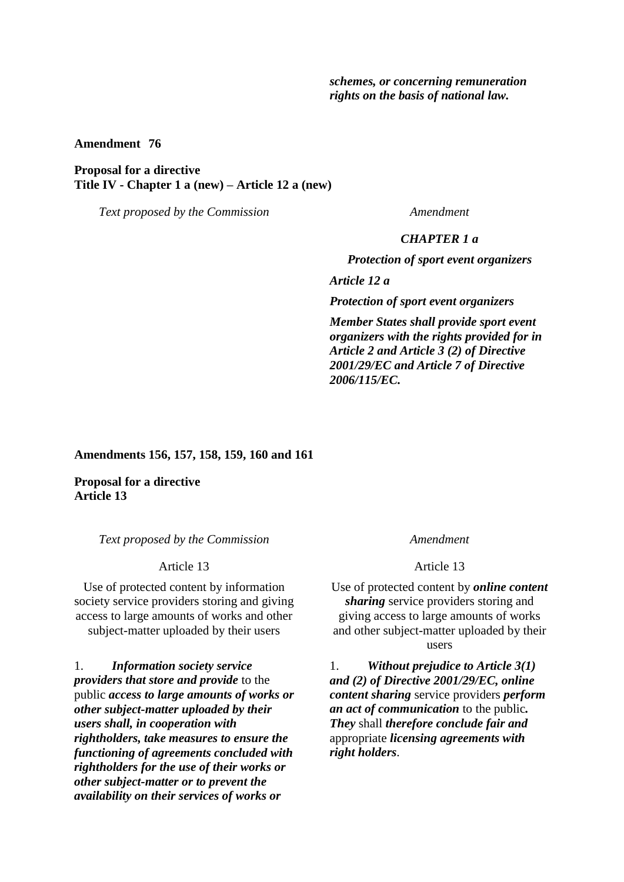*schemes, or concerning remuneration rights on the basis of national law.*

**Amendment 76**

## **Proposal for a directive Title IV - Chapter 1 a (new) – Article 12 a (new)**

*Text proposed by the Commission Amendment*

### *CHAPTER 1 a*

*Protection of sport event organizers*

*Article 12 a*

*Protection of sport event organizers*

*Member States shall provide sport event organizers with the rights provided for in Article 2 and Article 3 (2) of Directive 2001/29/EC and Article 7 of Directive 2006/115/EC.*

**Amendments 156, 157, 158, 159, 160 and 161**

**Proposal for a directive Article 13**

*Text proposed by the Commission Amendment*

Use of protected content by information society service providers storing and giving access to large amounts of works and other subject-matter uploaded by their users

1. *Information society service providers that store and provide* to the public *access to large amounts of works or other subject-matter uploaded by their users shall, in cooperation with rightholders, take measures to ensure the functioning of agreements concluded with rightholders for the use of their works or other subject-matter or to prevent the availability on their services of works or* 

Article 13 Article 13

Use of protected content by *online content sharing* service providers storing and giving access to large amounts of works and other subject-matter uploaded by their users

1. *Without prejudice to Article 3(1) and (2) of Directive 2001/29/EC, online content sharing* service providers *perform an act of communication* to the public*. They* shall *therefore conclude fair and* appropriate *licensing agreements with right holders*.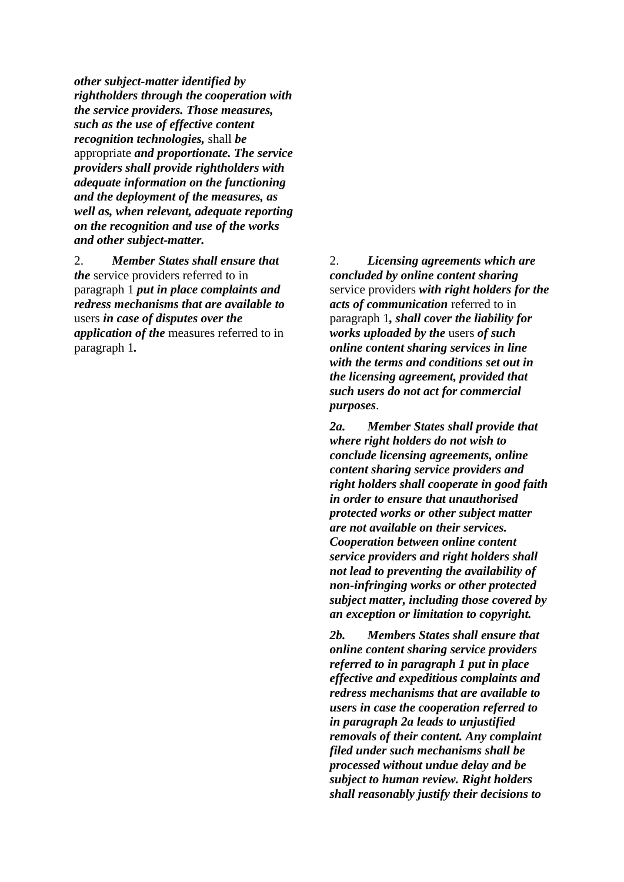*other subject-matter identified by rightholders through the cooperation with the service providers. Those measures, such as the use of effective content recognition technologies,* shall *be*  appropriate *and proportionate. The service providers shall provide rightholders with adequate information on the functioning and the deployment of the measures, as well as, when relevant, adequate reporting on the recognition and use of the works and other subject-matter.*

2. *Member States shall ensure that the* service providers referred to in paragraph 1 *put in place complaints and redress mechanisms that are available to*  users *in case of disputes over the application of the* measures referred to in paragraph 1*.*

2. *Licensing agreements which are concluded by online content sharing* service providers *with right holders for the acts of communication* referred to in paragraph 1*, shall cover the liability for works uploaded by the* users *of such online content sharing services in line with the terms and conditions set out in the licensing agreement, provided that such users do not act for commercial purposes*.

*2a. Member States shall provide that where right holders do not wish to conclude licensing agreements, online content sharing service providers and right holders shall cooperate in good faith in order to ensure that unauthorised protected works or other subject matter are not available on their services. Cooperation between online content service providers and right holders shall not lead to preventing the availability of non-infringing works or other protected subject matter, including those covered by an exception or limitation to copyright.*

*2b. Members States shall ensure that online content sharing service providers referred to in paragraph 1 put in place effective and expeditious complaints and redress mechanisms that are available to users in case the cooperation referred to in paragraph 2a leads to unjustified removals of their content. Any complaint filed under such mechanisms shall be processed without undue delay and be subject to human review. Right holders shall reasonably justify their decisions to*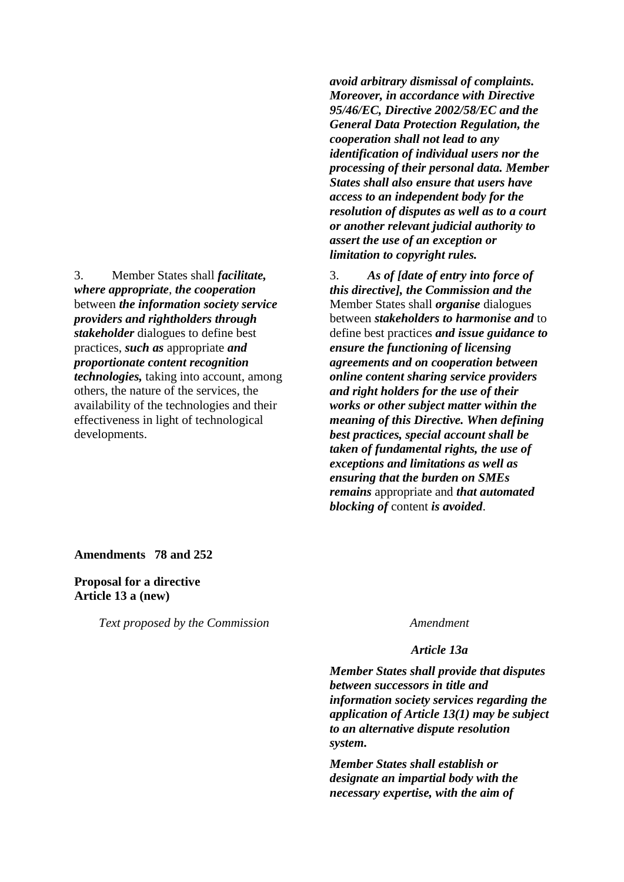3. Member States shall *facilitate, where appropriate*, *the cooperation*  between *the information society service providers and rightholders through stakeholder* dialogues to define best practices, *such as* appropriate *and proportionate content recognition technologies,* taking into account, among others, the nature of the services, the availability of the technologies and their effectiveness in light of technological developments.

*avoid arbitrary dismissal of complaints. Moreover, in accordance with Directive 95/46/EC, Directive 2002/58/EC and the General Data Protection Regulation, the cooperation shall not lead to any identification of individual users nor the processing of their personal data. Member States shall also ensure that users have access to an independent body for the resolution of disputes as well as to a court or another relevant judicial authority to assert the use of an exception or limitation to copyright rules.*

3. *As of [date of entry into force of this directive], the Commission and the* Member States shall *organise* dialogues between *stakeholders to harmonise and* to define best practices *and issue guidance to ensure the functioning of licensing agreements and on cooperation between online content sharing service providers and right holders for the use of their works or other subject matter within the meaning of this Directive. When defining best practices, special account shall be taken of fundamental rights, the use of exceptions and limitations as well as ensuring that the burden on SMEs remains* appropriate and *that automated blocking of* content *is avoided*.

**Amendments 78 and 252**

**Proposal for a directive Article 13 a (new)**

*Text proposed by the Commission Amendment*

## *Article 13a*

*Member States shall provide that disputes between successors in title and information society services regarding the application of Article 13(1) may be subject to an alternative dispute resolution system.*

*Member States shall establish or designate an impartial body with the necessary expertise, with the aim of*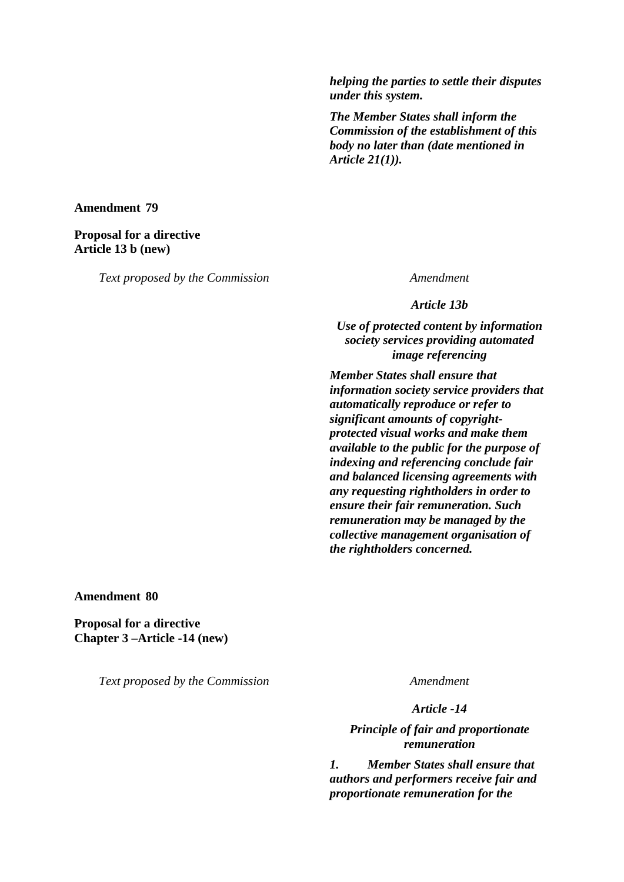*helping the parties to settle their disputes under this system.*

*The Member States shall inform the Commission of the establishment of this body no later than (date mentioned in Article 21(1)).*

## **Amendment 79**

## **Proposal for a directive Article 13 b (new)**

*Text proposed by the Commission Amendment*

*Article 13b*

*Use of protected content by information society services providing automated image referencing*

*Member States shall ensure that information society service providers that automatically reproduce or refer to significant amounts of copyrightprotected visual works and make them available to the public for the purpose of indexing and referencing conclude fair and balanced licensing agreements with any requesting rightholders in order to ensure their fair remuneration. Such remuneration may be managed by the collective management organisation of the rightholders concerned.*

**Amendment 80**

**Proposal for a directive Chapter 3 –Article -14 (new)**

*Text proposed by the Commission Amendment*

*Article -14*

*Principle of fair and proportionate remuneration*

*1. Member States shall ensure that authors and performers receive fair and proportionate remuneration for the*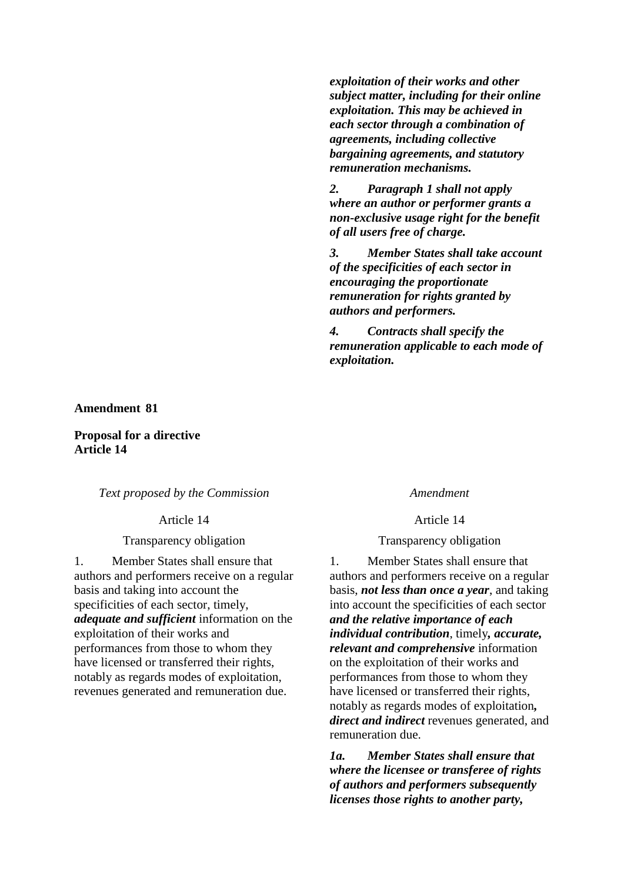**Amendment 81**

**Proposal for a directive Article 14**

*Text proposed by the Commission Amendment*

Article 14 Article 14

Transparency obligation Transparency obligation

1. Member States shall ensure that authors and performers receive on a regular basis and taking into account the specificities of each sector, timely, *adequate and sufficient* information on the exploitation of their works and performances from those to whom they have licensed or transferred their rights, notably as regards modes of exploitation, revenues generated and remuneration due.

*exploitation of their works and other subject matter, including for their online exploitation. This may be achieved in each sector through a combination of* 

*agreements, including collective bargaining agreements, and statutory* 

*2. Paragraph 1 shall not apply where an author or performer grants a non-exclusive usage right for the benefit* 

*of the specificities of each sector in encouraging the proportionate remuneration for rights granted by* 

*4. Contracts shall specify the* 

*3. Member States shall take account* 

*remuneration applicable to each mode of* 

*remuneration mechanisms.*

*of all users free of charge.*

*authors and performers.*

*exploitation.*

1. Member States shall ensure that authors and performers receive on a regular basis, *not less than once a year*, and taking into account the specificities of each sector *and the relative importance of each individual contribution*, timely*, accurate, relevant and comprehensive* information on the exploitation of their works and performances from those to whom they have licensed or transferred their rights, notably as regards modes of exploitation*, direct and indirect* revenues generated, and remuneration due.

*1a. Member States shall ensure that where the licensee or transferee of rights of authors and performers subsequently licenses those rights to another party,*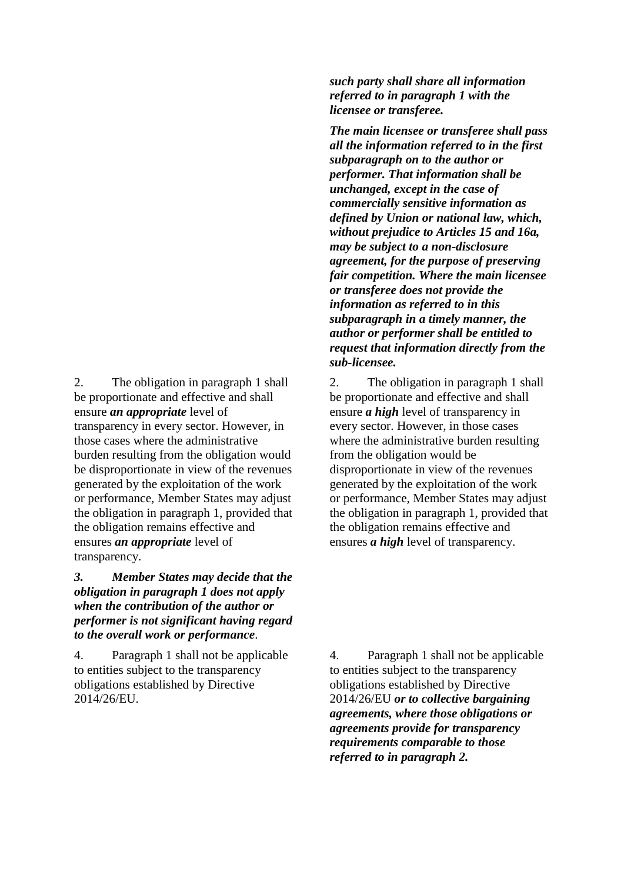2. The obligation in paragraph 1 shall be proportionate and effective and shall ensure *an appropriate* level of transparency in every sector. However, in those cases where the administrative burden resulting from the obligation would be disproportionate in view of the revenues generated by the exploitation of the work or performance, Member States may adjust the obligation in paragraph 1, provided that the obligation remains effective and ensures *an appropriate* level of transparency.

*3. Member States may decide that the obligation in paragraph 1 does not apply when the contribution of the author or performer is not significant having regard to the overall work or performance*.

4. Paragraph 1 shall not be applicable to entities subject to the transparency obligations established by Directive 2014/26/EU.

*such party shall share all information referred to in paragraph 1 with the licensee or transferee.*

*The main licensee or transferee shall pass all the information referred to in the first subparagraph on to the author or performer. That information shall be unchanged, except in the case of commercially sensitive information as defined by Union or national law, which, without prejudice to Articles 15 and 16a, may be subject to a non-disclosure agreement, for the purpose of preserving fair competition. Where the main licensee or transferee does not provide the information as referred to in this subparagraph in a timely manner, the author or performer shall be entitled to request that information directly from the sub-licensee.*

2. The obligation in paragraph 1 shall be proportionate and effective and shall ensure *a high* level of transparency in every sector. However, in those cases where the administrative burden resulting from the obligation would be disproportionate in view of the revenues generated by the exploitation of the work or performance, Member States may adjust the obligation in paragraph 1, provided that the obligation remains effective and ensures *a high* level of transparency.

4. Paragraph 1 shall not be applicable to entities subject to the transparency obligations established by Directive 2014/26/EU *or to collective bargaining agreements, where those obligations or agreements provide for transparency requirements comparable to those referred to in paragraph 2.*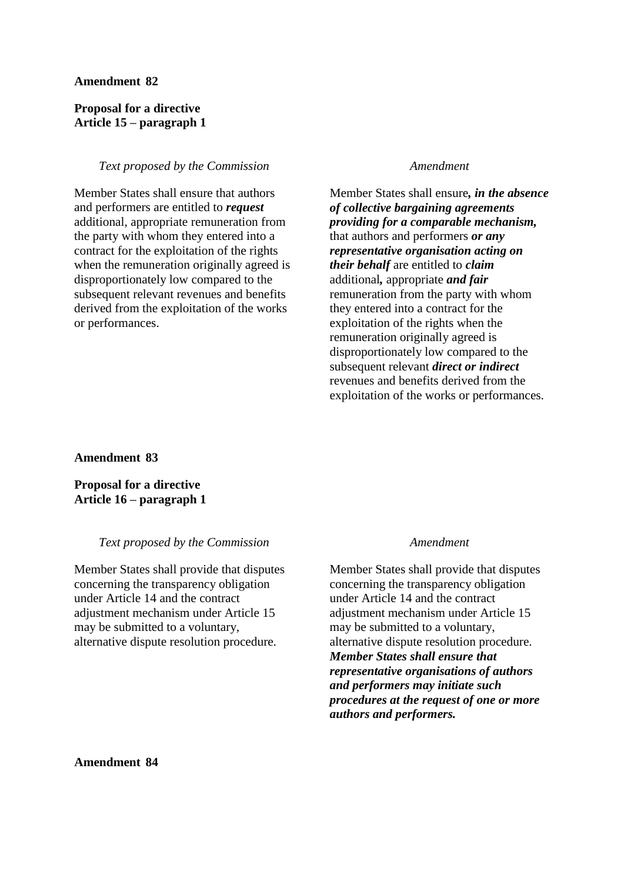### **Amendment 82**

## **Proposal for a directive Article 15 – paragraph 1**

## *Text proposed by the Commission Amendment*

Member States shall ensure that authors and performers are entitled to *request* additional, appropriate remuneration from the party with whom they entered into a contract for the exploitation of the rights when the remuneration originally agreed is disproportionately low compared to the subsequent relevant revenues and benefits derived from the exploitation of the works or performances.

Member States shall ensure*, in the absence of collective bargaining agreements providing for a comparable mechanism,*  that authors and performers *or any representative organisation acting on their behalf* are entitled to *claim* additional*,* appropriate *and fair* remuneration from the party with whom they entered into a contract for the exploitation of the rights when the remuneration originally agreed is disproportionately low compared to the subsequent relevant *direct or indirect* revenues and benefits derived from the exploitation of the works or performances.

**Amendment 83**

**Proposal for a directive Article 16 – paragraph 1**

### *Text proposed by the Commission Amendment*

Member States shall provide that disputes concerning the transparency obligation under Article 14 and the contract adjustment mechanism under Article 15 may be submitted to a voluntary, alternative dispute resolution procedure.

Member States shall provide that disputes concerning the transparency obligation under Article 14 and the contract adjustment mechanism under Article 15 may be submitted to a voluntary, alternative dispute resolution procedure. *Member States shall ensure that representative organisations of authors and performers may initiate such procedures at the request of one or more authors and performers.*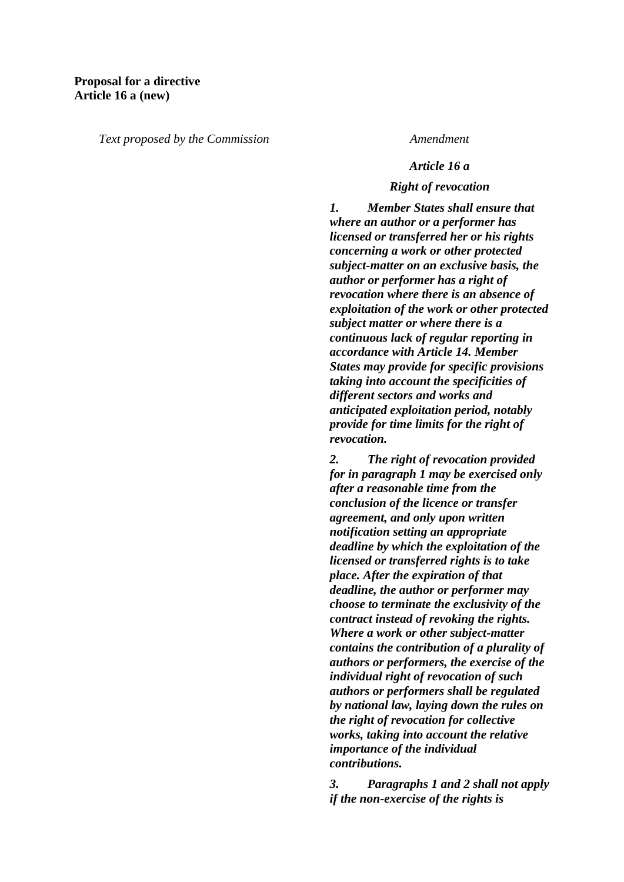*Text proposed by the Commission Amendment*

## *Article 16 a*

## *Right of revocation*

*1. Member States shall ensure that where an author or a performer has licensed or transferred her or his rights concerning a work or other protected subject-matter on an exclusive basis, the author or performer has a right of revocation where there is an absence of exploitation of the work or other protected subject matter or where there is a continuous lack of regular reporting in accordance with Article 14. Member States may provide for specific provisions taking into account the specificities of different sectors and works and anticipated exploitation period, notably provide for time limits for the right of revocation.*

*2. The right of revocation provided for in paragraph 1 may be exercised only after a reasonable time from the conclusion of the licence or transfer agreement, and only upon written notification setting an appropriate deadline by which the exploitation of the licensed or transferred rights is to take place. After the expiration of that deadline, the author or performer may choose to terminate the exclusivity of the contract instead of revoking the rights. Where a work or other subject-matter contains the contribution of a plurality of authors or performers, the exercise of the individual right of revocation of such authors or performers shall be regulated by national law, laying down the rules on the right of revocation for collective works, taking into account the relative importance of the individual contributions.*

*3. Paragraphs 1 and 2 shall not apply if the non-exercise of the rights is*